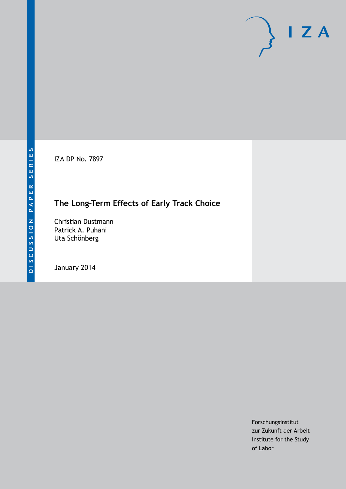IZA DP No. 7897

## **The Long-Term Effects of Early Track Choice**

Christian Dustmann Patrick A. Puhani Uta Schönberg

January 2014

Forschungsinstitut zur Zukunft der Arbeit Institute for the Study of Labor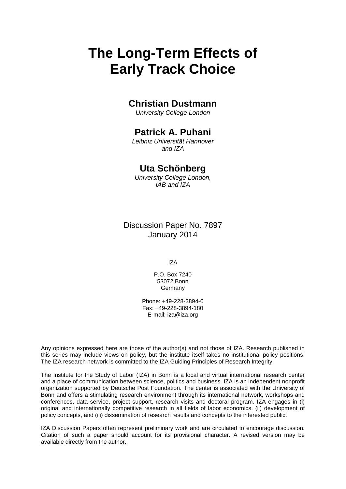# **The Long-Term Effects of Early Track Choice**

### **Christian Dustmann**

*University College London*

### **Patrick A. Puhani**

*Leibniz Universität Hannover and IZA*

### **Uta Schönberg**

*University College London, IAB and IZA*

Discussion Paper No. 7897 January 2014

IZA

P.O. Box 7240 53072 Bonn Germany

Phone: +49-228-3894-0 Fax: +49-228-3894-180 E-mail: [iza@iza.org](mailto:iza@iza.org)

Any opinions expressed here are those of the author(s) and not those of IZA. Research published in this series may include views on policy, but the institute itself takes no institutional policy positions. The IZA research network is committed to the IZA Guiding Principles of Research Integrity.

The Institute for the Study of Labor (IZA) in Bonn is a local and virtual international research center and a place of communication between science, politics and business. IZA is an independent nonprofit organization supported by Deutsche Post Foundation. The center is associated with the University of Bonn and offers a stimulating research environment through its international network, workshops and conferences, data service, project support, research visits and doctoral program. IZA engages in (i) original and internationally competitive research in all fields of labor economics, (ii) development of policy concepts, and (iii) dissemination of research results and concepts to the interested public.

<span id="page-1-0"></span>IZA Discussion Papers often represent preliminary work and are circulated to encourage discussion. Citation of such a paper should account for its provisional character. A revised version may be available directly from the author.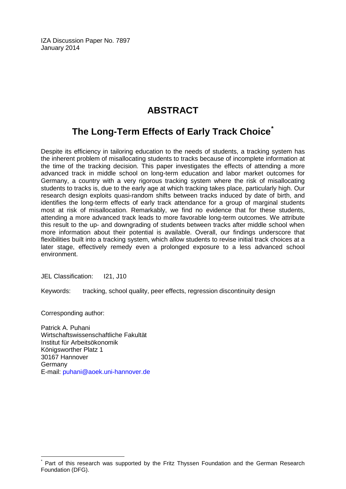IZA Discussion Paper No. 7897 January 2014

### **ABSTRACT**

### **The Long-Term Effects of Early Track Choice[\\*](#page-1-0)**

Despite its efficiency in tailoring education to the needs of students, a tracking system has the inherent problem of misallocating students to tracks because of incomplete information at the time of the tracking decision. This paper investigates the effects of attending a more advanced track in middle school on long-term education and labor market outcomes for Germany, a country with a very rigorous tracking system where the risk of misallocating students to tracks is, due to the early age at which tracking takes place, particularly high. Our research design exploits quasi-random shifts between tracks induced by date of birth, and identifies the long-term effects of early track attendance for a group of marginal students most at risk of misallocation. Remarkably, we find no evidence that for these students, attending a more advanced track leads to more favorable long-term outcomes. We attribute this result to the up- and downgrading of students between tracks after middle school when more information about their potential is available. Overall, our findings underscore that flexibilities built into a tracking system, which allow students to revise initial track choices at a later stage, effectively remedy even a prolonged exposure to a less advanced school environment.

JEL Classification: I21, J10

Keywords: tracking, school quality, peer effects, regression discontinuity design

Corresponding author:

Patrick A. Puhani Wirtschaftswissenschaftliche Fakultät Institut für Arbeitsökonomik Königsworther Platz 1 30167 Hannover Germany E-mail: [puhani@aoek.uni-hannover.de](mailto:puhani@aoek.uni-hannover.de)

Part of this research was supported by the Fritz Thyssen Foundation and the German Research Foundation (DFG).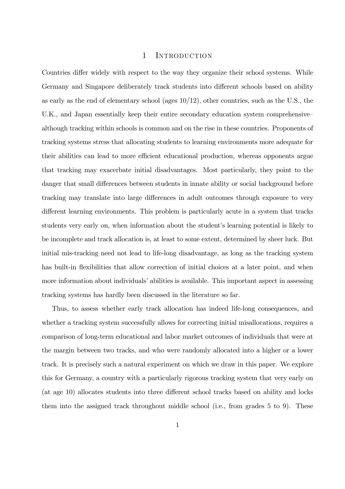#### 1 INTRODUCTION

Countries differ widely with respect to the way they organize their school systems. While Germany and Singapore deliberately track students into different schools based on ability as early as the end of elementary school (ages  $10/12$ ), other countries, such as the U.S., the U.K., and Japan essentially keep their entire secondary education system comprehensive– although tracking within schools is common and on the rise in these countries. Proponents of tracking systems stress that allocating students to learning environments more adequate for their abilities can lead to more efficient educational production, whereas opponents argue that tracking may exacerbate initial disadvantages. Most particularly, they point to the danger that small differences between students in innate ability or social background before tracking may translate into large differences in adult outcomes through exposure to very different learning environments. This problem is particularly acute in a system that tracks students very early on, when information about the student's learning potential is likely to be incomplete and track allocation is, at least to some extent, determined by sheer luck. But initial mis-tracking need not lead to life-long disadvantage, as long as the tracking system has built-in flexibilities that allow correction of initial choices at a later point, and when more information about individuals' abilities is available. This important aspect in assessing tracking systems has hardly been discussed in the literature so far.

Thus, to assess whether early track allocation has indeed life-long consequences, and whether a tracking system successfully allows for correcting initial misallocations, requires a comparison of long-term educational and labor market outcomes of individuals that were at the margin between two tracks, and who were randomly allocated into a higher or a lower track. It is precisely such a natural experiment on which we draw in this paper. We explore this for Germany, a country with a particularly rigorous tracking system that very early on (at age 10) allocates students into three different school tracks based on ability and locks them into the assigned track throughout middle school (i.e., from grades 5 to 9). These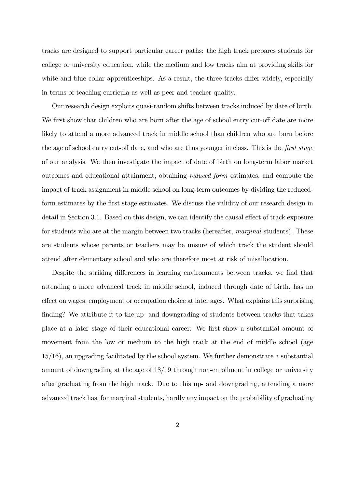tracks are designed to support particular career paths: the high track prepares students for college or university education, while the medium and low tracks aim at providing skills for white and blue collar apprenticeships. As a result, the three tracks differ widely, especially in terms of teaching curricula as well as peer and teacher quality.

Our research design exploits quasi-random shifts between tracks induced by date of birth. We first show that children who are born after the age of school entry cut-off date are more likely to attend a more advanced track in middle school than children who are born before the age of school entry cut-off date, and who are thus younger in class. This is the *first stage* of our analysis. We then investigate the impact of date of birth on long-term labor market outcomes and educational attainment, obtaining *reduced form* estimates, and compute the impact of track assignment in middle school on long-term outcomes by dividing the reducedform estimates by the first stage estimates. We discuss the validity of our research design in detail in Section 3.1. Based on this design, we can identify the causal effect of track exposure for students who are at the margin between two tracks (hereafter, *marginal* students). These are students whose parents or teachers may be unsure of which track the student should attend after elementary school and who are therefore most at risk of misallocation.

Despite the striking differences in learning environments between tracks, we find that attending a more advanced track in middle school, induced through date of birth, has no effect on wages, employment or occupation choice at later ages. What explains this surprising finding? We attribute it to the up- and downgrading of students between tracks that takes place at a later stage of their educational career: We first show a substantial amount of movement from the low or medium to the high track at the end of middle school (age 15/16), an upgrading facilitated by the school system. We further demonstrate a substantial amount of downgrading at the age of 18/19 through non-enrollment in college or university after graduating from the high track. Due to this up- and downgrading, attending a more advanced track has, for marginal students, hardly any impact on the probability of graduating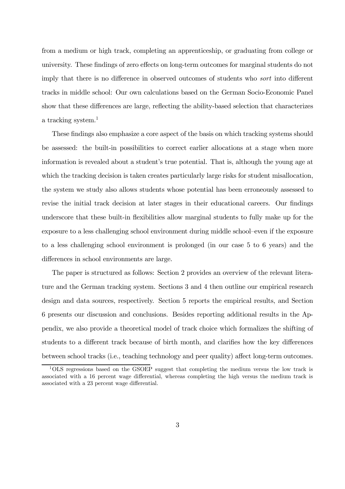from a medium or high track, completing an apprenticeship, or graduating from college or university. These findings of zero effects on long-term outcomes for marginal students do not imply that there is no difference in observed outcomes of students who *sort* into different tracks in middle school: Our own calculations based on the German Socio-Economic Panel show that these differences are large, reflecting the ability-based selection that characterizes a tracking system.<sup>1</sup>

These findings also emphasize a core aspect of the basis on which tracking systems should be assessed: the built-in possibilities to correct earlier allocations at a stage when more information is revealed about a student's true potential. That is, although the young age at which the tracking decision is taken creates particularly large risks for student misallocation, the system we study also allows students whose potential has been erroneously assessed to revise the initial track decision at later stages in their educational careers. Our findings underscore that these built-in flexibilities allow marginal students to fully make up for the exposure to a less challenging school environment during middle school–even if the exposure to a less challenging school environment is prolonged (in our case 5 to 6 years) and the differences in school environments are large.

The paper is structured as follows: Section 2 provides an overview of the relevant literature and the German tracking system. Sections 3 and 4 then outline our empirical research design and data sources, respectively. Section 5 reports the empirical results, and Section 6 presents our discussion and conclusions. Besides reporting additional results in the Appendix, we also provide a theoretical model of track choice which formalizes the shifting of students to a different track because of birth month, and clarifies how the key differences between school tracks (i.e., teaching technology and peer quality) affect long-term outcomes.

<sup>1</sup>OLS regressions based on the GSOEP suggest that completing the medium versus the low track is associated with a 16 percent wage differential, whereas completing the high versus the medium track is associated with a 23 percent wage differential.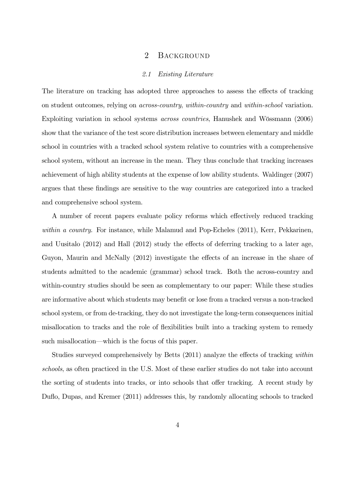#### 2 BACKGROUND

#### *2.1 Existing Literature*

The literature on tracking has adopted three approaches to assess the effects of tracking on student outcomes, relying on *across-country*, *within-country* and *within-school* variation. Exploiting variation in school systems *across countries*, Hanushek and Wössmann (2006) show that the variance of the test score distribution increases between elementary and middle school in countries with a tracked school system relative to countries with a comprehensive school system, without an increase in the mean. They thus conclude that tracking increases achievement of high ability students at the expense of low ability students. Waldinger (2007) argues that these findings are sensitive to the way countries are categorized into a tracked and comprehensive school system.

A number of recent papers evaluate policy reforms which effectively reduced tracking *within a country*. For instance, while Malamud and Pop-Echeles (2011), Kerr, Pekkarinen, and Uusitalo  $(2012)$  and Hall  $(2012)$  study the effects of deferring tracking to a later age, Guyon, Maurin and McNally (2012) investigate the effects of an increase in the share of students admitted to the academic (grammar) school track. Both the across-country and within-country studies should be seen as complementary to our paper: While these studies are informative about which students may benefit or lose from a tracked versus a non-tracked school system, or from de-tracking, they do not investigate the long-term consequences initial misallocation to tracks and the role of flexibilities built into a tracking system to remedy such misallocation—which is the focus of this paper.

Studies surveyed comprehensively by Betts (2011) analyze the effects of tracking *within schools*, as often practiced in the U.S. Most of these earlier studies do not take into account the sorting of students into tracks, or into schools that offer tracking. A recent study by Duflo, Dupas, and Kremer (2011) addresses this, by randomly allocating schools to tracked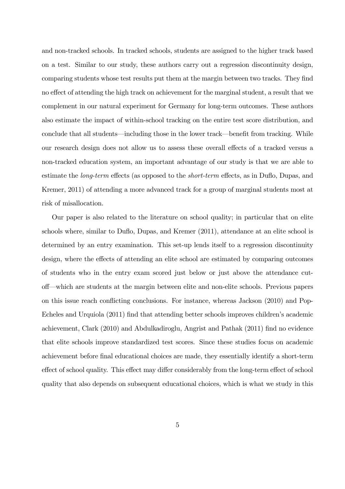and non-tracked schools. In tracked schools, students are assigned to the higher track based on a test. Similar to our study, these authors carry out a regression discontinuity design, comparing students whose test results put them at the margin between two tracks. They find no effect of attending the high track on achievement for the marginal student, a result that we complement in our natural experiment for Germany for long-term outcomes. These authors also estimate the impact of within-school tracking on the entire test score distribution, and conclude that all students—including those in the lower track—benefit from tracking. While our research design does not allow us to assess these overall effects of a tracked versus a non-tracked education system, an important advantage of our study is that we are able to estimate the *long-term* effects (as opposed to the *short-term* effects, as in Duflo, Dupas, and Kremer, 2011) of attending a more advanced track for a group of marginal students most at risk of misallocation.

Our paper is also related to the literature on school quality; in particular that on elite schools where, similar to Duflo, Dupas, and Kremer (2011), attendance at an elite school is determined by an entry examination. This set-up lends itself to a regression discontinuity design, where the effects of attending an elite school are estimated by comparing outcomes of students who in the entry exam scored just below or just above the attendance cuto¤—which are students at the margin between elite and non-elite schools. Previous papers on this issue reach conflicting conclusions. For instance, whereas Jackson (2010) and Pop-Echeles and Urquiola  $(2011)$  find that attending better schools improves children's academic achievement, Clark  $(2010)$  and Abdulkadiroglu, Angrist and Pathak  $(2011)$  find no evidence that elite schools improve standardized test scores. Since these studies focus on academic achievement before final educational choices are made, they essentially identify a short-term effect of school quality. This effect may differ considerably from the long-term effect of school quality that also depends on subsequent educational choices, which is what we study in this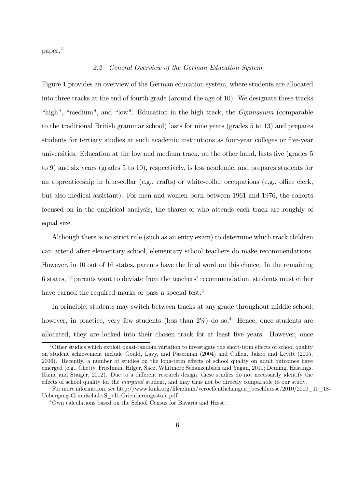paper.<sup>2</sup>

#### *2.2 General Overview of the German Education System*

Figure 1 provides an overview of the German education system, where students are allocated into three tracks at the end of fourth grade (around the age of 10). We designate these tracks "high", "medium", and "low". Education in the high track, the *Gymnasium* (comparable to the traditional British grammar school) lasts for nine years (grades 5 to 13) and prepares students for tertiary studies at such academic institutions as four-year colleges or five-year universities. Education at the low and medium track, on the other hand, lasts five (grades 5 to 9) and six years (grades 5 to 10), respectively, is less academic, and prepares students for an apprenticeship in blue-collar (e.g., crafts) or white-collar occupations (e.g., office clerk, but also medical assistant). For men and women born between 1961 and 1976, the cohorts focused on in the empirical analysis, the shares of who attends each track are roughly of equal size.

Although there is no strict rule (such as an entry exam) to determine which track children can attend after elementary school, elementary school teachers do make recommendations. However, in 10 out of 16 states, parents have the final word on this choice. In the remaining 6 states, if parents want to deviate from the teachers' recommendation, students must either have earned the required marks or pass a special test.<sup>3</sup>

In principle, students may switch between tracks at any grade throughout middle school; however, in practice, very few students (less than  $2\%$ ) do so.<sup>4</sup> Hence, once students are allocated, they are locked into their chosen track for at least five years. However, once

<sup>&</sup>lt;sup>2</sup>Other studies which exploit quasi-random variation to investigate the short-term effects of school quality on student achievement include Gould, Lavy, and Paserman (2004) and Cullen, Jakob and Levitt (2005, 2006). Recently, a number of studies on the long-term effects of school quality on adult outcomes have emerged (e.g., Chetty, Friedman, Hilger, Saez, Whitmore Schanzenbach and Yagan, 2011; Deming, Hastings, Kaine and Staiger, 2012). Due to a different research design, these studies do not necessarily identify the effects of school quality for the *marginal* student, and may thus not be directly comparable to our study.

<sup>&</sup>lt;sup>3</sup>For more information, see http://www.kmk.org/fileadmin/veroeffentlichungen\_beschluesse/2010/2010\_10\_18-Uebergang-Grundschule-S\_eI1-Orientierungsstufe.pdf

<sup>4</sup>Own calculations based on the School Census for Bavaria and Hesse.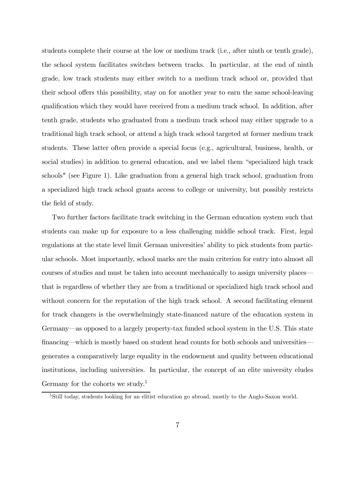students complete their course at the low or medium track (i.e., after ninth or tenth grade), the school system facilitates switches between tracks. In particular, at the end of ninth grade, low track students may either switch to a medium track school or, provided that their school offers this possibility, stay on for another year to earn the same school-leaving qualification which they would have received from a medium track school. In addition, after tenth grade, students who graduated from a medium track school may either upgrade to a traditional high track school, or attend a high track school targeted at former medium track students. These latter often provide a special focus (e.g., agricultural, business, health, or social studies) in addition to general education, and we label them "specialized high track schools" (see Figure 1). Like graduation from a general high track school, graduation from a specialized high track school grants access to college or university, but possibly restricts the field of study.

Two further factors facilitate track switching in the German education system such that students can make up for exposure to a less challenging middle school track. First, legal regulations at the state level limit German universities' ability to pick students from particular schools. Most importantly, school marks are the main criterion for entry into almost all courses of studies and must be taken into account mechanically to assign university places that is regardless of whether they are from a traditional or specialized high track school and without concern for the reputation of the high track school. A second facilitating element for track changers is the overwhelmingly state-financed nature of the education system in Germany—as opposed to a largely property-tax funded school system in the U.S. This state financing—which is mostly based on student head counts for both schools and universities generates a comparatively large equality in the endowment and quality between educational institutions, including universities. In particular, the concept of an elite university eludes Germany for the cohorts we study.<sup>5</sup>

<sup>&</sup>lt;sup>5</sup>Still today, students looking for an elitist education go abroad, mostly to the Anglo-Saxon world.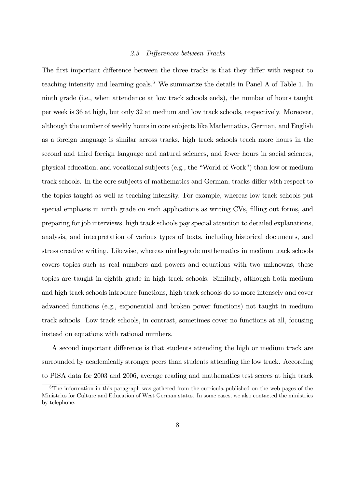#### 2.3 Differences between Tracks

The first important difference between the three tracks is that they differ with respect to teaching intensity and learning goals.<sup>6</sup> We summarize the details in Panel A of Table 1. In ninth grade (i.e., when attendance at low track schools ends), the number of hours taught per week is 36 at high, but only 32 at medium and low track schools, respectively. Moreover, although the number of weekly hours in core subjects like Mathematics, German, and English as a foreign language is similar across tracks, high track schools teach more hours in the second and third foreign language and natural sciences, and fewer hours in social sciences, physical education, and vocational subjects (e.g., the "World of Work") than low or medium track schools. In the core subjects of mathematics and German, tracks differ with respect to the topics taught as well as teaching intensity. For example, whereas low track schools put special emphasis in ninth grade on such applications as writing CVs, filling out forms, and preparing for job interviews, high track schools pay special attention to detailed explanations, analysis, and interpretation of various types of texts, including historical documents, and stress creative writing. Likewise, whereas ninth-grade mathematics in medium track schools covers topics such as real numbers and powers and equations with two unknowns, these topics are taught in eighth grade in high track schools. Similarly, although both medium and high track schools introduce functions, high track schools do so more intensely and cover advanced functions (e.g., exponential and broken power functions) not taught in medium track schools. Low track schools, in contrast, sometimes cover no functions at all, focusing instead on equations with rational numbers.

A second important difference is that students attending the high or medium track are surrounded by academically stronger peers than students attending the low track. According to PISA data for 2003 and 2006, average reading and mathematics test scores at high track

 $6$ The information in this paragraph was gathered from the curricula published on the web pages of the Ministries for Culture and Education of West German states. In some cases, we also contacted the ministries by telephone.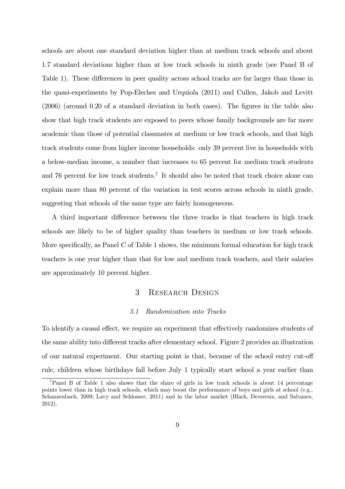schools are about one standard deviation higher than at medium track schools and about 1.7 standard deviations higher than at low track schools in ninth grade (see Panel B of Table 1). These differences in peer quality across school tracks are far larger than those in the quasi-experiments by Pop-Eleches and Urquiola (2011) and Cullen, Jakob and Levitt  $(2006)$  (around 0.20 of a standard deviation in both cases). The figures in the table also show that high track students are exposed to peers whose family backgrounds are far more academic than those of potential classmates at medium or low track schools, and that high track students come from higher income households: only 39 percent live in households with a below-median income, a number that increases to 65 percent for medium track students and 76 percent for low track students.<sup>7</sup> It should also be noted that track choice alone can explain more than 80 percent of the variation in test scores across schools in ninth grade, suggesting that schools of the same type are fairly homogeneous.

A third important difference between the three tracks is that teachers in high track schools are likely to be of higher quality than teachers in medium or low track schools. More specifically, as Panel C of Table 1 shows, the minimum formal education for high track teachers is one year higher than that for low and medium track teachers, and their salaries are approximately 10 percent higher.

### 3 RESEARCH DESIGN

#### *3.1 Randomization into Tracks*

To identify a causal effect, we require an experiment that effectively randomizes students of the same ability into different tracks after elementary school. Figure 2 provides an illustration of our natural experiment. Our starting point is that, because of the school entry cut-off rule, children whose birthdays fall before July 1 typically start school a year earlier than

<sup>7</sup>Panel B of Table 1 also shows that the share of girls in low track schools is about 14 percentage points lower than in high track schools, which may boost the performance of boys and girls at school (e.g., Schanzenbach, 2009; Lavy and Schlosser, 2011) and in the labor market (Black, Devereux, and Salvanes, 2012).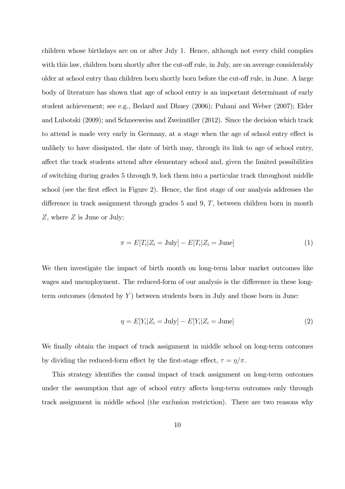children whose birthdays are on or after July 1. Hence, although not every child complies with this law, children born shortly after the cut-off rule, in July, are on average considerably older at school entry than children born shortly born before the cut-off rule, in June. A large body of literature has shown that age of school entry is an important determinant of early student achievement; see e.g., Bedard and Dhuey (2006); Puhani and Weber (2007); Elder and Lubotski (2009); and Schneeweiss and Zweimüller (2012). Since the decision which track to attend is made very early in Germany, at a stage when the age of school entry effect is unlikely to have dissipated, the date of birth may, through its link to age of school entry, affect the track students attend after elementary school and, given the limited possibilities of switching during grades 5 through 9, lock them into a particular track throughout middle school (see the first effect in Figure 2). Hence, the first stage of our analysis addresses the difference in track assignment through grades 5 and 9,  $T$ , between children born in month  $Z$ , where  $Z$  is June or July:

$$
\pi = E[T_i | Z_i = \text{July}] - E[T_i | Z_i = \text{June}] \tag{1}
$$

We then investigate the impact of birth month on long-term labor market outcomes like wages and unemployment. The reduced-form of our analysis is the difference in these longterm outcomes (denoted by  $Y$ ) between students born in July and those born in June:

$$
\eta = E[Y_i | Z_i = \text{July}] - E[Y_i | Z_i = \text{June}] \tag{2}
$$

We finally obtain the impact of track assignment in middle school on long-term outcomes by dividing the reduced-form effect by the first-stage effect,  $\tau = \eta/\pi$ .

This strategy identifies the causal impact of track assignment on long-term outcomes under the assumption that age of school entry affects long-term outcomes only through track assignment in middle school (the exclusion restriction). There are two reasons why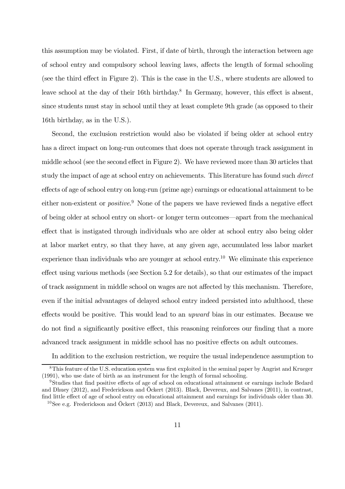this assumption may be violated. First, if date of birth, through the interaction between age of school entry and compulsory school leaving laws, affects the length of formal schooling (see the third effect in Figure 2). This is the case in the U.S., where students are allowed to leave school at the day of their 16th birthday.<sup>8</sup> In Germany, however, this effect is absent, since students must stay in school until they at least complete 9th grade (as opposed to their 16th birthday, as in the U.S.).

Second, the exclusion restriction would also be violated if being older at school entry has a direct impact on long-run outcomes that does not operate through track assignment in middle school (see the second effect in Figure 2). We have reviewed more than 30 articles that study the impact of age at school entry on achievements. This literature has found such *direct* effects of age of school entry on long-run (prime age) earnings or educational attainment to be either non-existent or *positive*.<sup>9</sup> None of the papers we have reviewed finds a negative effect of being older at school entry on short- or longer term outcomes—apart from the mechanical effect that is instigated through individuals who are older at school entry also being older at labor market entry, so that they have, at any given age, accumulated less labor market experience than individuals who are younger at school entry.<sup>10</sup> We eliminate this experience  $e$  effect using various methods (see Section 5.2 for details), so that our estimates of the impact of track assignment in middle school on wages are not affected by this mechanism. Therefore, even if the initial advantages of delayed school entry indeed persisted into adulthood, these effects would be positive. This would lead to an *upward* bias in our estimates. Because we do not find a significantly positive effect, this reasoning reinforces our finding that a more advanced track assignment in middle school has no positive effects on adult outcomes.

In addition to the exclusion restriction, we require the usual independence assumption to

 $8$ This feature of the U.S. education system was first exploited in the seminal paper by Angrist and Krueger (1991), who use date of birth as an instrument for the length of formal schooling.

<sup>&</sup>lt;sup>9</sup>Studies that find positive effects of age of school on educational attainment or earnings include Bedard and Dhuey (2012), and Frederickson and Öckert (2013). Black, Devereux, and Salvanes (2011), in contrast, find little effect of age of school entry on educational attainment and earnings for individuals older than 30.

 $10$ See e.g. Frederickson and Öckert (2013) and Black, Devereux, and Salvanes (2011).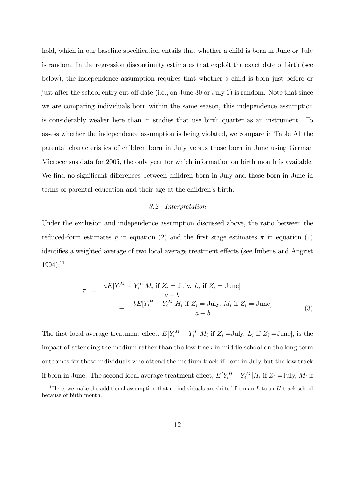hold, which in our baseline specification entails that whether a child is born in June or July is random. In the regression discontinuity estimates that exploit the exact date of birth (see below), the independence assumption requires that whether a child is born just before or just after the school entry cut-off date (i.e., on June 30 or July 1) is random. Note that since we are comparing individuals born within the same season, this independence assumption is considerably weaker here than in studies that use birth quarter as an instrument. To assess whether the independence assumption is being violated, we compare in Table A1 the parental characteristics of children born in July versus those born in June using German Microcensus data for 2005, the only year for which information on birth month is available. We find no significant differences between children born in July and those born in June in terms of parental education and their age at the children's birth.

#### *3.2 Interpretation*

Under the exclusion and independence assumption discussed above, the ratio between the reduced-form estimates  $\eta$  in equation (2) and the first stage estimates  $\pi$  in equation (1) identifies a weighted average of two local average treatment effects (see Imbens and Angrist  $1994$ :<sup>11</sup>

$$
\tau = \frac{aE[Y_i^M - Y_i^L|M_i \text{ if } Z_i = \text{July}, L_i \text{ if } Z_i = \text{June}]}{a + b} + \frac{bE[Y_i^H - Y_i^M|H_i \text{ if } Z_i = \text{July}, M_i \text{ if } Z_i = \text{June}]}{a + b}
$$
(3)

The first local average treatment effect,  $E[Y_i^M - Y_i^L|M_i]$  if  $Z_i = \text{July}, L_i$  if  $Z_i = \text{June},$  is the impact of attending the medium rather than the low track in middle school on the long-term outcomes for those individuals who attend the medium track if born in July but the low track if born in June. The second local average treatment effect,  $E[Y_i^H - Y_i^M | H_i$  if  $Z_i =$ July,  $M_i$  if

<sup>&</sup>lt;sup>11</sup> Here, we make the additional assumption that no individuals are shifted from an  $L$  to an  $H$  track school because of birth month.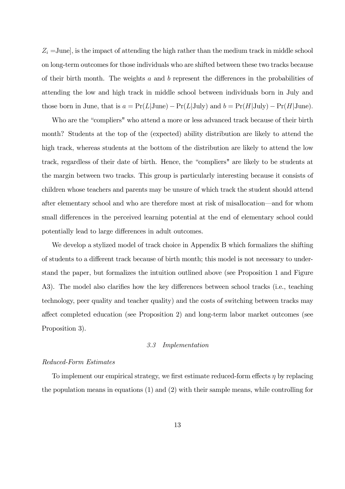$Z_i = \text{June},$  is the impact of attending the high rather than the medium track in middle school on long-term outcomes for those individuals who are shifted between these two tracks because of their birth month. The weights  $a$  and  $b$  represent the differences in the probabilities of attending the low and high track in middle school between individuals born in July and those born in June, that is  $a = Pr(L|June) - Pr(L|July)$  and  $b = Pr(H|July) - Pr(H|June)$ .

Who are the "compliers" who attend a more or less advanced track because of their birth month? Students at the top of the (expected) ability distribution are likely to attend the high track, whereas students at the bottom of the distribution are likely to attend the low track, regardless of their date of birth. Hence, the "compliers" are likely to be students at the margin between two tracks. This group is particularly interesting because it consists of children whose teachers and parents may be unsure of which track the student should attend after elementary school and who are therefore most at risk of misallocation—and for whom small differences in the perceived learning potential at the end of elementary school could potentially lead to large differences in adult outcomes.

We develop a stylized model of track choice in Appendix B which formalizes the shifting of students to a different track because of birth month; this model is not necessary to understand the paper, but formalizes the intuition outlined above (see Proposition 1 and Figure A3). The model also clarifies how the key differences between school tracks (i.e., teaching technology, peer quality and teacher quality) and the costs of switching between tracks may affect completed education (see Proposition 2) and long-term labor market outcomes (see Proposition 3).

#### *3.3 Implementation*

#### *Reduced-Form Estimates*

To implement our empirical strategy, we first estimate reduced-form effects  $\eta$  by replacing the population means in equations (1) and (2) with their sample means, while controlling for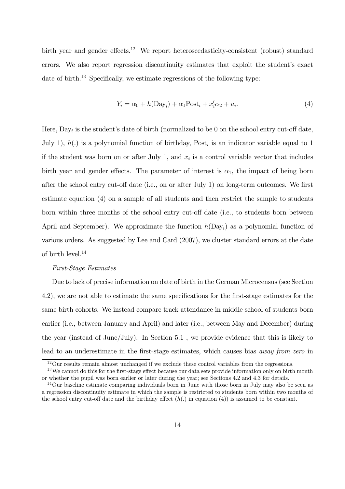birth year and gender effects.<sup>12</sup> We report heteroscedasticity-consistent (robust) standard errors. We also report regression discontinuity estimates that exploit the student's exact date of birth.<sup>13</sup> Specifically, we estimate regressions of the following type:

$$
Y_i = \alpha_0 + h(\text{Day}_i) + \alpha_1 \text{Post}_i + x_i' \alpha_2 + u_i.
$$
\n
$$
\tag{4}
$$

Here,  $\text{Day}_i$  is the student's date of birth (normalized to be 0 on the school entry cut-off date, July 1),  $h(.)$  is a polynomial function of birthday, Post<sub>i</sub> is an indicator variable equal to 1 if the student was born on or after July 1, and  $x_i$  is a control variable vector that includes birth year and gender effects. The parameter of interest is  $\alpha_1$ , the impact of being born after the school entry cut-off date (i.e., on or after July 1) on long-term outcomes. We first estimate equation (4) on a sample of all students and then restrict the sample to students born within three months of the school entry cut-off date (i.e., to students born between April and September). We approximate the function  $h(Day_i)$  as a polynomial function of various orders. As suggested by Lee and Card (2007), we cluster standard errors at the date of birth level. $^{14}$ 

#### *First-Stage Estimates*

Due to lack of precise information on date of birth in the German Microcensus (see Section 4.2), we are not able to estimate the same specifications for the first-stage estimates for the same birth cohorts. We instead compare track attendance in middle school of students born earlier (i.e., between January and April) and later (i.e., between May and December) during the year (instead of June/July). In Section 5.1 , we provide evidence that this is likely to lead to an underestimate in the first-stage estimates, which causes bias *away from zero* in

<sup>&</sup>lt;sup>12</sup>Our results remain almost unchanged if we exclude these control variables from the regressions.

 $13$ We cannot do this for the first-stage effect because our data sets provide information only on birth month or whether the pupil was born earlier or later during the year; see Sections 4.2 and 4.3 for details.

<sup>14</sup>Our baseline estimate comparing individuals born in June with those born in July may also be seen as a regression discontinuity estimate in which the sample is restricted to students born within two months of the school entry cut-off date and the birthday effect  $(h(.)$  in equation (4)) is assumed to be constant.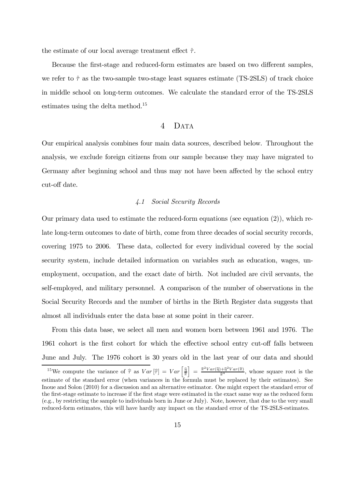the estimate of our local average treatment effect  $\hat{\tau}$ .

Because the first-stage and reduced-form estimates are based on two different samples, we refer to  $\hat{\tau}$  as the two-sample two-stage least squares estimate (TS-2SLS) of track choice in middle school on long-term outcomes. We calculate the standard error of the TS-2SLS estimates using the delta method.<sup>15</sup>

#### 4 DATA

Our empirical analysis combines four main data sources, described below. Throughout the analysis, we exclude foreign citizens from our sample because they may have migrated to Germany after beginning school and thus may not have been affected by the school entry cut-off date.

#### *4.1 Social Security Records*

Our primary data used to estimate the reduced-form equations (see equation (2)), which relate long-term outcomes to date of birth, come from three decades of social security records, covering 1975 to 2006. These data, collected for every individual covered by the social security system, include detailed information on variables such as education, wages, unemployment, occupation, and the exact date of birth. Not included are civil servants, the self-employed, and military personnel. A comparison of the number of observations in the Social Security Records and the number of births in the Birth Register data suggests that almost all individuals enter the data base at some point in their career.

From this data base, we select all men and women born between 1961 and 1976. The 1961 cohort is the first cohort for which the effective school entry cut-off falls between June and July. The 1976 cohort is 30 years old in the last year of our data and should

<sup>&</sup>lt;sup>15</sup>We compute the variance of  $\hat{\tau}$  as  $Var[\hat{\tau}] = Var\left[\frac{\hat{\tau}}{\hat{\tau}}\right]$  $= \frac{\widehat{\pi}^2 Var(\widehat{\eta}) + \widehat{\eta}^2 Var(\widehat{\pi})}{\widehat{\pi}^4}$  $\frac{(\pi + \eta^2 \vee ar(\pi))}{\hat{\pi}^4}$ , whose square root is the estimate of the standard error (when variances in the formula must be replaced by their estimates). See Inoue and Solon (2010) for a discussion and an alternative estimator. One might expect the standard error of the first-stage estimate to increase if the first stage were estimated in the exact same way as the reduced form (e.g., by restricting the sample to individuals born in June or July). Note, however, that due to the very small reduced-form estimates, this will have hardly any impact on the standard error of the TS-2SLS-estimates.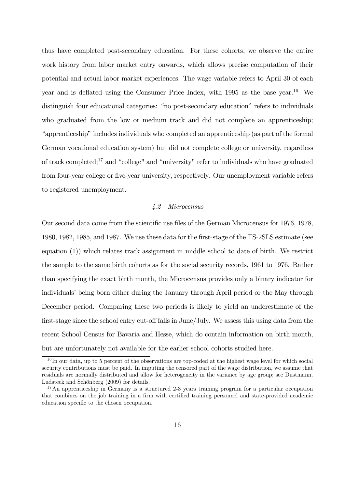thus have completed post-secondary education. For these cohorts, we observe the entire work history from labor market entry onwards, which allows precise computation of their potential and actual labor market experiences. The wage variable refers to April 30 of each year and is deflated using the Consumer Price Index, with  $1995$  as the base year.<sup>16</sup> We distinguish four educational categories: "no post-secondary education" refers to individuals who graduated from the low or medium track and did not complete an apprenticeship; "apprenticeship" includes individuals who completed an apprenticeship (as part of the formal German vocational education system) but did not complete college or university, regardless of track completed;<sup>17</sup> and "college" and "university" refer to individuals who have graduated from four-year college or five-year university, respectively. Our unemployment variable refers to registered unemployment.

#### *4.2 Microcensus*

Our second data come from the scientific use files of the German Microcensus for 1976, 1978, 1980, 1982, 1985, and 1987. We use these data for the first-stage of the TS-2SLS estimate (see equation (1)) which relates track assignment in middle school to date of birth. We restrict the sample to the same birth cohorts as for the social security records, 1961 to 1976. Rather than specifying the exact birth month, the Microcensus provides only a binary indicator for individuals' being born either during the January through April period or the May through December period. Comparing these two periods is likely to yield an underestimate of the first-stage since the school entry cut-off falls in  $\text{June/July.}$  We assess this using data from the recent School Census for Bavaria and Hesse, which do contain information on birth month, but are unfortunately not available for the earlier school cohorts studied here.

<sup>&</sup>lt;sup>16</sup>In our data, up to 5 percent of the observations are top-coded at the highest wage level for which social security contributions must be paid. In imputing the censored part of the wage distribution, we assume that residuals are normally distributed and allow for heterogeneity in the variance by age group; see Dustmann, Ludsteck and Schönberg (2009) for details.

 $17\text{ An apprenticeship in Germany is a structured 2-3 years training program for a particular occupation.}$ that combines on the job training in a firm with certified training personnel and state-provided academic education specific to the chosen occupation.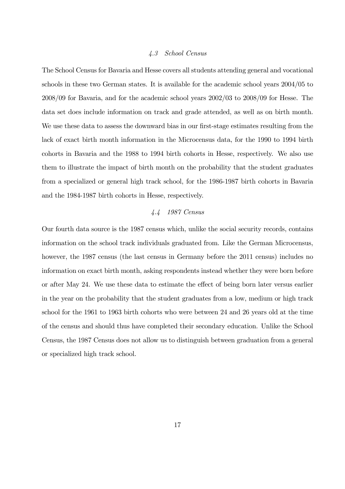#### *4.3 School Census*

The School Census for Bavaria and Hesse covers all students attending general and vocational schools in these two German states. It is available for the academic school years 2004/05 to 2008/09 for Bavaria, and for the academic school years 2002/03 to 2008/09 for Hesse. The data set does include information on track and grade attended, as well as on birth month. We use these data to assess the downward bias in our first-stage estimates resulting from the lack of exact birth month information in the Microcensus data, for the 1990 to 1994 birth cohorts in Bavaria and the 1988 to 1994 birth cohorts in Hesse, respectively. We also use them to illustrate the impact of birth month on the probability that the student graduates from a specialized or general high track school, for the 1986-1987 birth cohorts in Bavaria and the 1984-1987 birth cohorts in Hesse, respectively.

#### *4.4 1987 Census*

Our fourth data source is the 1987 census which, unlike the social security records, contains information on the school track individuals graduated from. Like the German Microcensus, however, the 1987 census (the last census in Germany before the 2011 census) includes no information on exact birth month, asking respondents instead whether they were born before or after May 24. We use these data to estimate the effect of being born later versus earlier in the year on the probability that the student graduates from a low, medium or high track school for the 1961 to 1963 birth cohorts who were between 24 and 26 years old at the time of the census and should thus have completed their secondary education. Unlike the School Census, the 1987 Census does not allow us to distinguish between graduation from a general or specialized high track school.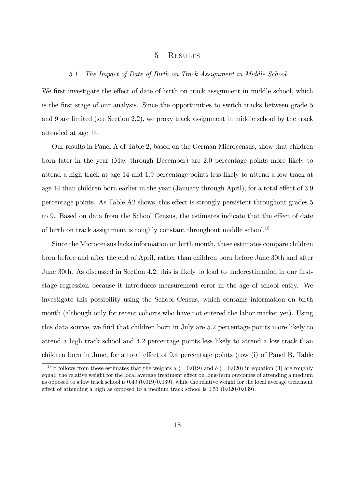#### 5 RESULTS

#### *5.1 The Impact of Date of Birth on Track Assignment in Middle School*

We first investigate the effect of date of birth on track assignment in middle school, which is the first stage of our analysis. Since the opportunities to switch tracks between grade 5 and 9 are limited (see Section 2.2), we proxy track assignment in middle school by the track attended at age 14.

Our results in Panel A of Table 2, based on the German Microcensus, show that children born later in the year (May through December) are 2.0 percentage points more likely to attend a high track at age 14 and 1.9 percentage points less likely to attend a low track at age 14 than children born earlier in the year (January through April), for a total effect of 3.9 percentage points. As Table A2 shows, this effect is strongly persistent throughout grades 5 to 9. Based on data from the School Census, the estimates indicate that the effect of date of birth on track assignment is roughly constant throughout middle school.<sup>18</sup>

Since the Microcensus lacks information on birth month, these estimates compare children born before and after the end of April, rather than children born before June 30th and after June 30th. As discussed in Section 4.2, this is likely to lead to underestimation in our firststage regression because it introduces measurement error in the age of school entry. We investigate this possibility using the School Census, which contains information on birth month (although only for recent cohorts who have not entered the labor market yet). Using this data source, we find that children born in July are 5.2 percentage points more likely to attend a high track school and 4.2 percentage points less likely to attend a low track than children born in June, for a total effect of  $9.4$  percentage points (row (i) of Panel B, Table

<sup>&</sup>lt;sup>18</sup>It follows from these estimates that the weights  $a (= 0.019)$  and  $b (= 0.020)$  in equation (3) are roughly equal: the relative weight for the local average treatment effect on long-term outcomes of attending a medium as opposed to a low track school is 0.49 (0.019/0.039), while the relative weight for the local average treatment effect of attending a high as opposed to a medium track school is  $0.51$  ( $0.020/0.039$ ).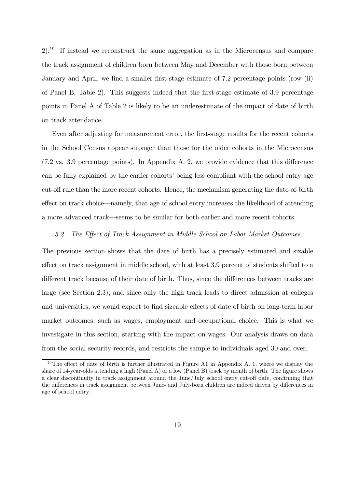2).<sup>19</sup> If instead we reconstruct the same aggregation as in the Microcensus and compare the track assignment of children born between May and December with those born between January and April, we find a smaller first-stage estimate of  $7.2$  percentage points (row (ii) of Panel B, Table 2). This suggests indeed that the first-stage estimate of  $3.9$  percentage points in Panel A of Table 2 is likely to be an underestimate of the impact of date of birth on track attendance.

Even after adjusting for measurement error, the first-stage results for the recent cohorts in the School Census appear stronger than those for the older cohorts in the Microcensus  $(7.2 \text{ vs. } 3.9 \text{ percentage points})$ . In Appendix A. 2, we provide evidence that this difference can be fully explained by the earlier cohorts' being less compliant with the school entry age cut-off rule than the more recent cohorts. Hence, the mechanism generating the date-of-birth effect on track choice—namely, that age of school entry increases the likelihood of attending a more advanced track—seems to be similar for both earlier and more recent cohorts.

#### *5.2 The E¤ect of Track Assignment in Middle School on Labor Market Outcomes*

The previous section shows that the date of birth has a precisely estimated and sizable effect on track assignment in middle school, with at least 3.9 percent of students shifted to a different track because of their date of birth. Thus, since the differences between tracks are large (see Section 2.3), and since only the high track leads to direct admission at colleges and universities, we would expect to find sizeable effects of date of birth on long-term labor market outcomes, such as wages, employment and occupational choice. This is what we investigate in this section, starting with the impact on wages. Our analysis draws on data from the social security records, and restricts the sample to individuals aged 30 and over.

<sup>&</sup>lt;sup>19</sup>The effect of date of birth is further illustrated in Figure A1 in Appendix A. 1, where we display the share of 14-year-olds attending a high (Panel A) or a low (Panel B) track by month of birth. The figure shows a clear discontinuity in track assignment around the June/July school entry cut-off date, confirming that the differences in track assignment between June- and July-born children are indeed driven by differences in age of school entry.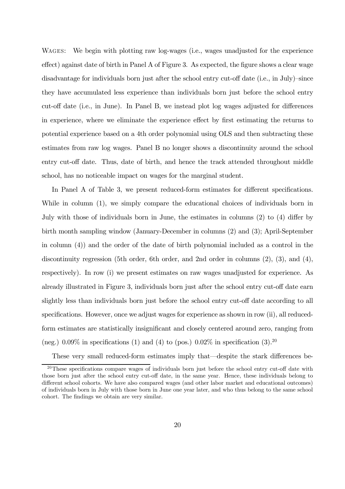WAGES: We begin with plotting raw log-wages (i.e., wages unadjusted for the experience  $effect$ ) against date of birth in Panel A of Figure 3. As expected, the figure shows a clear wage disadvantage for individuals born just after the school entry cut-off date (i.e., in July)–since they have accumulated less experience than individuals born just before the school entry cut-off date (i.e., in June). In Panel B, we instead plot log wages adjusted for differences in experience, where we eliminate the experience effect by first estimating the returns to potential experience based on a 4th order polynomial using OLS and then subtracting these estimates from raw log wages. Panel B no longer shows a discontinuity around the school entry cut-off date. Thus, date of birth, and hence the track attended throughout middle school, has no noticeable impact on wages for the marginal student.

In Panel A of Table 3, we present reduced-form estimates for different specifications. While in column (1), we simply compare the educational choices of individuals born in July with those of individuals born in June, the estimates in columns  $(2)$  to  $(4)$  differ by birth month sampling window (January-December in columns (2) and (3); April-September in column (4)) and the order of the date of birth polynomial included as a control in the discontinuity regression (5th order, 6th order, and 2nd order in columns (2), (3), and (4), respectively). In row (i) we present estimates on raw wages unadjusted for experience. As already illustrated in Figure 3, individuals born just after the school entry cut-off date earn slightly less than individuals born just before the school entry cut-off date according to all specifications. However, once we adjust wages for experience as shown in row  $(ii)$ , all reducedform estimates are statistically insignificant and closely centered around zero, ranging from (neg.) 0.09% in specifications (1) and (4) to (pos.) 0.02% in specification (3).<sup>20</sup>

These very small reduced-form estimates imply that—despite the stark differences be-

 $20$ These specifications compare wages of individuals born just before the school entry cut-off date with those born just after the school entry cut-off date, in the same year. Hence, these individuals belong to different school cohorts. We have also compared wages (and other labor market and educational outcomes) of individuals born in July with those born in June one year later, and who thus belong to the same school cohort. The findings we obtain are very similar.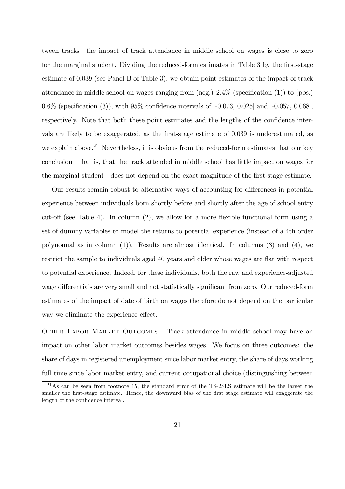tween tracks—the impact of track attendance in middle school on wages is close to zero for the marginal student. Dividing the reduced-form estimates in Table 3 by the first-stage estimate of 0.039 (see Panel B of Table 3), we obtain point estimates of the impact of track attendance in middle school on wages ranging from  $(neg.)$  2.4% (specification (1)) to  $(pos.)$ 0.6% (specification (3)), with 95% confidence intervals of  $[-0.073, 0.025]$  and  $[-0.057, 0.068]$ . respectively. Note that both these point estimates and the lengths of the confidence intervals are likely to be exaggerated, as the first-stage estimate of 0.039 is underestimated, as we explain above.<sup>21</sup> Nevertheless, it is obvious from the reduced-form estimates that our key conclusion—that is, that the track attended in middle school has little impact on wages for the marginal student—does not depend on the exact magnitude of the first-stage estimate.

Our results remain robust to alternative ways of accounting for differences in potential experience between individuals born shortly before and shortly after the age of school entry cut-off (see Table 4). In column  $(2)$ , we allow for a more flexible functional form using a set of dummy variables to model the returns to potential experience (instead of a 4th order polynomial as in column (1)). Results are almost identical. In columns (3) and (4), we restrict the sample to individuals aged 40 years and older whose wages are flat with respect to potential experience. Indeed, for these individuals, both the raw and experience-adjusted wage differentials are very small and not statistically significant from zero. Our reduced-form estimates of the impact of date of birth on wages therefore do not depend on the particular way we eliminate the experience effect.

Other Labor Market Outcomes: Track attendance in middle school may have an impact on other labor market outcomes besides wages. We focus on three outcomes: the share of days in registered unemployment since labor market entry, the share of days working full time since labor market entry, and current occupational choice (distinguishing between

<sup>&</sup>lt;sup>21</sup>As can be seen from footnote 15, the standard error of the TS-2SLS estimate will be the larger the smaller the first-stage estimate. Hence, the downward bias of the first stage estimate will exaggerate the length of the confidence interval.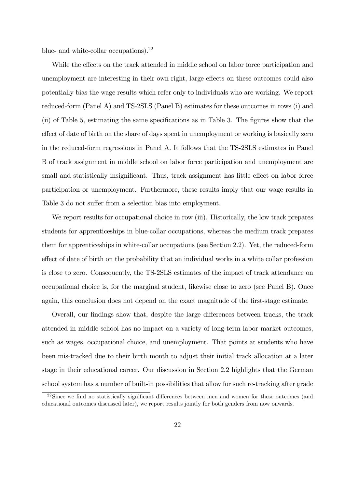blue- and white-collar occupations). $^{22}$ 

While the effects on the track attended in middle school on labor force participation and unemployment are interesting in their own right, large effects on these outcomes could also potentially bias the wage results which refer only to individuals who are working. We report reduced-form (Panel A) and TS-2SLS (Panel B) estimates for these outcomes in rows (i) and  $(i)$  of Table 5, estimating the same specifications as in Table 3. The figures show that the effect of date of birth on the share of days spent in unemployment or working is basically zero in the reduced-form regressions in Panel A. It follows that the TS-2SLS estimates in Panel B of track assignment in middle school on labor force participation and unemployment are small and statistically insignificant. Thus, track assignment has little effect on labor force participation or unemployment. Furthermore, these results imply that our wage results in Table 3 do not suffer from a selection bias into employment.

We report results for occupational choice in row (iii). Historically, the low track prepares students for apprenticeships in blue-collar occupations, whereas the medium track prepares them for apprenticeships in white-collar occupations (see Section 2.2). Yet, the reduced-form effect of date of birth on the probability that an individual works in a white collar profession is close to zero. Consequently, the TS-2SLS estimates of the impact of track attendance on occupational choice is, for the marginal student, likewise close to zero (see Panel B). Once again, this conclusion does not depend on the exact magnitude of the first-stage estimate.

Overall, our findings show that, despite the large differences between tracks, the track attended in middle school has no impact on a variety of long-term labor market outcomes, such as wages, occupational choice, and unemployment. That points at students who have been mis-tracked due to their birth month to adjust their initial track allocation at a later stage in their educational career. Our discussion in Section 2.2 highlights that the German school system has a number of built-in possibilities that allow for such re-tracking after grade

 $^{22}$ Since we find no statistically significant differences between men and women for these outcomes (and educational outcomes discussed later), we report results jointly for both genders from now onwards.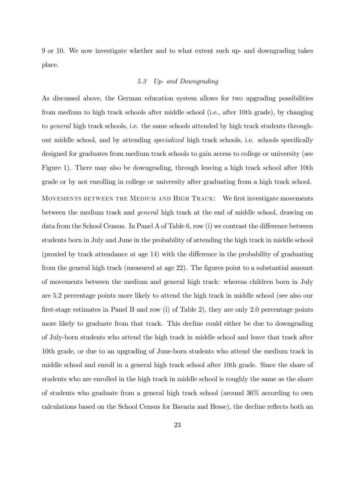9 or 10. We now investigate whether and to what extent such up- and downgrading takes place.

#### *5.3 Up- and Downgrading*

As discussed above, the German education system allows for two upgrading possibilities from medium to high track schools after middle school (i.e., after 10th grade), by changing to *general* high track schools, i.e. the same schools attended by high track students throughout middle school, and by attending *specialized* high track schools, i.e. schools specifically designed for graduates from medium track schools to gain access to college or university (see Figure 1). There may also be downgrading, through leaving a high track school after 10th grade or by not enrolling in college or university after graduating from a high track school. MOVEMENTS BETWEEN THE MEDIUM AND HIGH TRACK: We first investigate movements between the medium track and *general* high track at the end of middle school, drawing on data from the School Census. In Panel A of Table 6, row  $(i)$  we contrast the difference between students born in July and June in the probability of attending the high track in middle school (proxied by track attendance at age  $14$ ) with the difference in the probability of graduating from the general high track (measured at age  $22$ ). The figures point to a substantial amount of movements between the medium and general high track: whereas children born in July are 5.2 percentage points more likely to attend the high track in middle school (see also our first-stage estimates in Panel B and row (i) of Table 2), they are only 2.0 percentage points more likely to graduate from that track. This decline could either be due to downgrading of July-born students who attend the high track in middle school and leave that track after 10th grade, or due to an upgrading of June-born students who attend the medium track in middle school and enroll in a general high track school after 10th grade. Since the share of students who are enrolled in the high track in middle school is roughly the same as the share of students who graduate from a general high track school (around 36% according to own calculations based on the School Census for Bavaria and Hesse), the decline reflects both an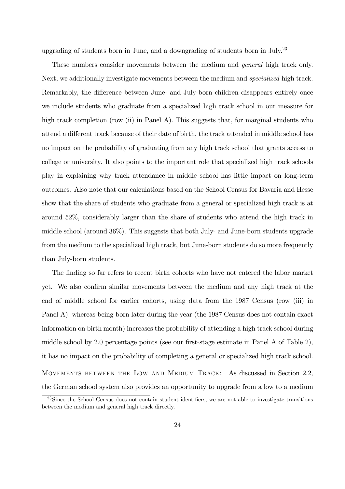upgrading of students born in June, and a downgrading of students born in July.<sup>23</sup>

These numbers consider movements between the medium and *general* high track only. Next, we additionally investigate movements between the medium and *specialized* high track. Remarkably, the difference between June- and July-born children disappears entirely once we include students who graduate from a specialized high track school in our measure for high track completion (row (ii) in Panel A). This suggests that, for marginal students who attend a different track because of their date of birth, the track attended in middle school has no impact on the probability of graduating from any high track school that grants access to college or university. It also points to the important role that specialized high track schools play in explaining why track attendance in middle school has little impact on long-term outcomes. Also note that our calculations based on the School Census for Bavaria and Hesse show that the share of students who graduate from a general or specialized high track is at around 52%, considerably larger than the share of students who attend the high track in middle school (around 36%). This suggests that both July- and June-born students upgrade from the medium to the specialized high track, but June-born students do so more frequently than July-born students.

The finding so far refers to recent birth cohorts who have not entered the labor market yet. We also confirm similar movements between the medium and any high track at the end of middle school for earlier cohorts, using data from the 1987 Census (row (iii) in Panel A): whereas being born later during the year (the 1987 Census does not contain exact information on birth month) increases the probability of attending a high track school during middle school by 2.0 percentage points (see our first-stage estimate in Panel A of Table 2), it has no impact on the probability of completing a general or specialized high track school. MOVEMENTS BETWEEN THE LOW AND MEDIUM TRACK: As discussed in Section 2.2, the German school system also provides an opportunity to upgrade from a low to a medium

<sup>&</sup>lt;sup>23</sup>Since the School Census does not contain student identifiers, we are not able to investigate transitions between the medium and general high track directly.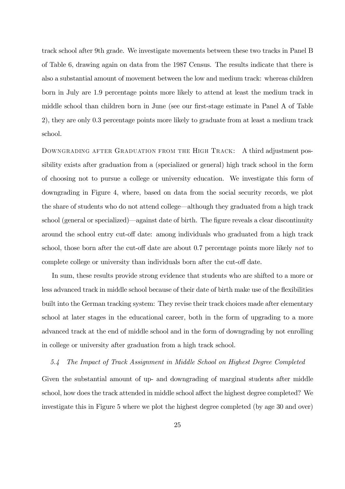track school after 9th grade. We investigate movements between these two tracks in Panel B of Table 6, drawing again on data from the 1987 Census. The results indicate that there is also a substantial amount of movement between the low and medium track: whereas children born in July are 1.9 percentage points more likely to attend at least the medium track in middle school than children born in June (see our first-stage estimate in Panel A of Table 2), they are only 0.3 percentage points more likely to graduate from at least a medium track school.

Downgrading after Graduation from the High Track: A third adjustment possibility exists after graduation from a (specialized or general) high track school in the form of choosing not to pursue a college or university education. We investigate this form of downgrading in Figure 4, where, based on data from the social security records, we plot the share of students who do not attend college—although they graduated from a high track school (general or specialized)—against date of birth. The figure reveals a clear discontinuity around the school entry cut-off date: among individuals who graduated from a high track school, those born after the cut-off date are about 0.7 percentage points more likely *not* to complete college or university than individuals born after the cut-off date.

In sum, these results provide strong evidence that students who are shifted to a more or less advanced track in middle school because of their date of birth make use of the flexibilities built into the German tracking system: They revise their track choices made after elementary school at later stages in the educational career, both in the form of upgrading to a more advanced track at the end of middle school and in the form of downgrading by not enrolling in college or university after graduation from a high track school.

*5.4 The Impact of Track Assignment in Middle School on Highest Degree Completed* Given the substantial amount of up- and downgrading of marginal students after middle school, how does the track attended in middle school affect the highest degree completed? We investigate this in Figure 5 where we plot the highest degree completed (by age 30 and over)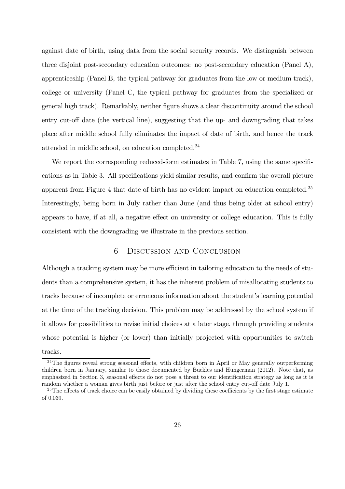against date of birth, using data from the social security records. We distinguish between three disjoint post-secondary education outcomes: no post-secondary education (Panel A), apprenticeship (Panel B, the typical pathway for graduates from the low or medium track), college or university (Panel C, the typical pathway for graduates from the specialized or general high track). Remarkably, neither figure shows a clear discontinuity around the school entry cut-off date (the vertical line), suggesting that the up- and downgrading that takes place after middle school fully eliminates the impact of date of birth, and hence the track attended in middle school, on education completed.<sup>24</sup>

We report the corresponding reduced-form estimates in Table 7, using the same specifications as in Table 3. All specifications yield similar results, and confirm the overall picture apparent from Figure 4 that date of birth has no evident impact on education completed.<sup>25</sup> Interestingly, being born in July rather than June (and thus being older at school entry) appears to have, if at all, a negative effect on university or college education. This is fully consistent with the downgrading we illustrate in the previous section.

### 6 Discussion and Conclusion

Although a tracking system may be more efficient in tailoring education to the needs of students than a comprehensive system, it has the inherent problem of misallocating students to tracks because of incomplete or erroneous information about the student's learning potential at the time of the tracking decision. This problem may be addressed by the school system if it allows for possibilities to revise initial choices at a later stage, through providing students whose potential is higher (or lower) than initially projected with opportunities to switch tracks.

 $24$ The figures reveal strong seasonal effects, with children born in April or May generally outperforming children born in January, similar to those documented by Buckles and Hungerman (2012). Note that, as emphasized in Section 3, seasonal effects do not pose a threat to our identification strategy as long as it is random whether a woman gives birth just before or just after the school entry cut-off date July 1.

 $25$ The effects of track choice can be easily obtained by dividing these coefficients by the first stage estimate of 0.039.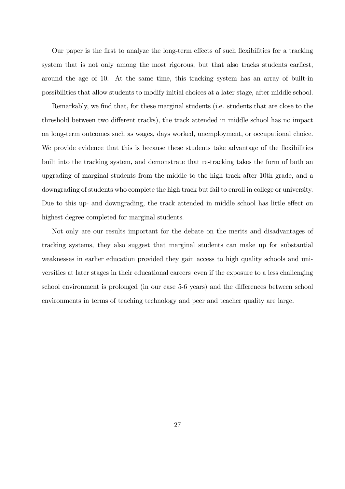Our paper is the first to analyze the long-term effects of such flexibilities for a tracking system that is not only among the most rigorous, but that also tracks students earliest, around the age of 10. At the same time, this tracking system has an array of built-in possibilities that allow students to modify initial choices at a later stage, after middle school.

Remarkably, we find that, for these marginal students (i.e. students that are close to the threshold between two different tracks), the track attended in middle school has no impact on long-term outcomes such as wages, days worked, unemployment, or occupational choice. We provide evidence that this is because these students take advantage of the flexibilities built into the tracking system, and demonstrate that re-tracking takes the form of both an upgrading of marginal students from the middle to the high track after 10th grade, and a downgrading of students who complete the high track but fail to enroll in college or university. Due to this up- and downgrading, the track attended in middle school has little effect on highest degree completed for marginal students.

Not only are our results important for the debate on the merits and disadvantages of tracking systems, they also suggest that marginal students can make up for substantial weaknesses in earlier education provided they gain access to high quality schools and universities at later stages in their educational careers–even if the exposure to a less challenging school environment is prolonged (in our case 5-6 years) and the differences between school environments in terms of teaching technology and peer and teacher quality are large.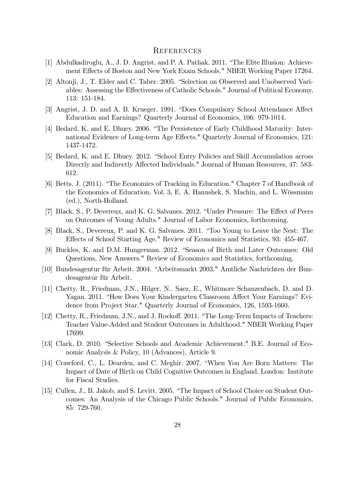#### **REFERENCES**

- [1] Abdulkadiroglu, A., J. D. Angrist, and P. A. Pathak. 2011. "The Elite Illusion: Achievement Effects of Boston and New York Exam Schools." NBER Working Paper 17264.
- [2] Altonji, J., T. Elder and C. Taber. 2005. "Selection on Observed and Unobserved Variables: Assessing the Effectiveness of Catholic Schools." Journal of Political Economy, 113: 151-184.
- [3] Angrist, J. D. and A. B. Krueger. 1991. "Does Compulsory School Attendance Affect Education and Earnings? Quarterly Journal of Economics, 106: 979-1014.
- [4] Bedard, K. and E. Dhuey. 2006. "The Persistence of Early Childhood Maturity: International Evidence of Long-term Age Effects." Quarterly Journal of Economics, 121: 1437-1472.
- [5] Bedard, K. and E. Dhuey. 2012. "School Entry Policies and Skill Accumulation across Directly and Indirectly Affected Individuals." Journal of Human Resources, 47: 583-612.
- [6] Betts, J. (2011). "The Economics of Tracking in Education." Chapter 7 of Handbook of the Economics of Education, Vol. 3, E. A. Hanushek, S. Machin, and L. Wössmann (ed.), North-Holland.
- [7] Black, S., P. Devereux, and K. G. Salvanes. 2012. "Under Pressure: The Effect of Peers on Outcomes of Young Adults." Journal of Labor Economics, forthcoming.
- [8] Black, S., Devereux, P. and K. G. Salvanes. 2011. "Too Young to Leave the Nest: The Effects of School Starting Age." Review of Economics and Statistics, 93: 455-467.
- [9] Buckles, K. and D.M. Hungerman. 2012. "Season of Birth and Later Outcomes: Old Questions, New Answers." Review of Economics and Statistics, forthcoming.
- [10] Bundesagentur für Arbeit. 2004. "Arbeitsmarkt 2003." Amtliche Nachrichten der Bundesagentur für Arbeit.
- [11] Chetty, R., Friedman, J.N., Hilger, N.. Saez, E., Whitmore Schanzenbach, D. and D. Yagan. 2011. "How Does Your Kindergarten Classroom Affect Your Earnings? Evidence from Project Star." Quarterly Journal of Economics, 126, 1593-1660.
- [12] Chetty, R., Friedman, J.N., and J. Rockoff. 2011. "The Long-Term Impacts of Teachers: Teacher Value-Added and Student Outcomes in Adulthood." NBER Working Paper 17699.
- [13] Clark, D. 2010. "Selective Schools and Academic Achievement." B.E. Journal of Economic Analysis & Policy, 10 (Advances), Article 9.
- [14] Crawford, C., L. Dearden, and C. Meghir. 2007. "When You Are Born Matters: The Impact of Date of Birth on Child Cognitive Outcomes in England. London: Institute for Fiscal Studies.
- [15] Cullen, J., B. Jakob, and S. Levitt. 2005. "The Impact of School Choice on Student Outcomes: An Analysis of the Chicago Public Schools." Journal of Public Economics, 85: 729-760.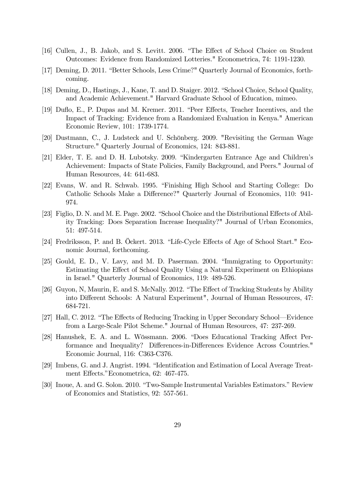- [16] Cullen, J., B. Jakob, and S. Levitt. 2006. "The Effect of School Choice on Student Outcomes: Evidence from Randomized Lotteries." Econometrica, 74: 1191-1230.
- [17] Deming, D. 2011. "Better Schools, Less Crime?" Quarterly Journal of Economics, forthcoming.
- [18] Deming, D., Hastings, J., Kane, T. and D. Staiger. 2012. "School Choice, School Quality, and Academic Achievement." Harvard Graduate School of Education, mimeo.
- [19] Duflo, E., P. Dupas and M. Kremer. 2011. "Peer Effects, Teacher Incentives, and the Impact of Tracking: Evidence from a Randomized Evaluation in Kenya." American Economic Review, 101: 1739-1774.
- [20] Dustmann, C., J. Ludsteck and U. Schönberg. 2009. "Revisiting the German Wage Structure." Quarterly Journal of Economics, 124: 843-881.
- [21] Elder, T. E. and D. H. Lubotsky. 2009. "Kindergarten Entrance Age and Children's Achievement: Impacts of State Policies, Family Background, and Peers." Journal of Human Resources, 44: 641-683.
- [22] Evans, W. and R. Schwab. 1995. "Finishing High School and Starting College: Do Catholic Schools Make a Difference?" Quarterly Journal of Economics, 110: 941-974.
- [23] Figlio, D. N. and M. E. Page. 2002. "School Choice and the Distributional Effects of Ability Tracking: Does Separation Increase Inequality?" Journal of Urban Economics, 51: 497-514.
- [24] Fredriksson, P. and B. Öckert. 2013. "Life-Cycle Effects of Age of School Start." Economic Journal, forthcoming.
- [25] Gould, E. D., V. Lavy, and M. D. Paserman. 2004. "Immigrating to Opportunity: Estimating the Effect of School Quality Using a Natural Experiment on Ethiopians in Israel." Quarterly Journal of Economics, 119: 489-526.
- [26] Guyon, N, Maurin, E. and S. McNally. 2012. "The Effect of Tracking Students by Ability into Different Schools: A Natural Experiment", Journal of Human Ressources, 47: 684-721.
- [27] Hall, C. 2012. "The Effects of Reducing Tracking in Upper Secondary School—Evidence from a Large-Scale Pilot Scheme." Journal of Human Resources, 47: 237-269.
- [28] Hanushek, E. A. and L. Wössmann. 2006. "Does Educational Tracking Affect Performance and Inequality? Differences-in-Differences Evidence Across Countries." Economic Journal, 116: C363-C376.
- [29] Imbens, G. and J. Angrist. 1994. "Identification and Estimation of Local Average Treatment Effects." Econometrica, 62: 467-475.
- [30] Inoue, A. and G. Solon. 2010. "Two-Sample Instrumental Variables Estimators." Review of Economics and Statistics, 92: 557-561.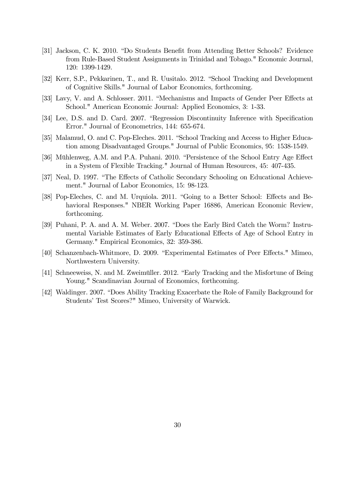- [31] Jackson, C. K. 2010. "Do Students Benefit from Attending Better Schools? Evidence from Rule-Based Student Assignments in Trinidad and Tobago." Economic Journal, 120: 1399-1429.
- [32] Kerr, S.P., Pekkarinen, T., and R. Uusitalo. 2012. "School Tracking and Development of Cognitive Skills." Journal of Labor Economics, forthcoming.
- [33] Lavy, V. and A. Schlosser. 2011. "Mechanisms and Impacts of Gender Peer Effects at School." American Economic Journal: Applied Economics, 3: 1-33.
- [34] Lee, D.S. and D. Card. 2007. "Regression Discontinuity Inference with Specification Error." Journal of Econometrics, 144: 655-674.
- [35] Malamud, O. and C. Pop-Eleches. 2011. "School Tracking and Access to Higher Education among Disadvantaged Groups." Journal of Public Economics, 95: 1538-1549.
- [36] Mühlenweg, A.M. and P.A. Puhani. 2010. "Persistence of the School Entry Age Effect in a System of Flexible Tracking." Journal of Human Resources, 45: 407-435.
- [37] Neal, D. 1997. "The Effects of Catholic Secondary Schooling on Educational Achievement." Journal of Labor Economics, 15: 98-123.
- [38] Pop-Eleches, C. and M. Urquiola. 2011. "Going to a Better School: Effects and Behavioral Responses." NBER Working Paper 16886, American Economic Review, forthcoming.
- [39] Puhani, P. A. and A. M. Weber. 2007. "Does the Early Bird Catch the Worm? Instrumental Variable Estimates of Early Educational Effects of Age of School Entry in Germany." Empirical Economics, 32: 359-386.
- [40] Schanzenbach-Whitmore, D. 2009. "Experimental Estimates of Peer Effects." Mimeo, Northwestern University.
- [41] Schneeweiss, N. and M. Zweimüller. 2012. "Early Tracking and the Misfortune of Being Young." Scandinavian Journal of Economics, forthcoming.
- [42] Waldinger. 2007. "Does Ability Tracking Exacerbate the Role of Family Background for Students' Test Scores?" Mimeo, University of Warwick.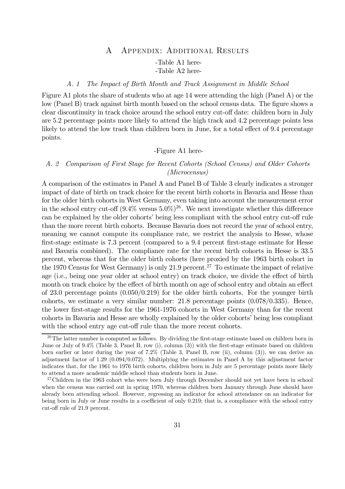### A Appendix: Additional Results -Table A1 here- -Table A2 here-

#### *A. 1 The Impact of Birth Month and Track Assignment in Middle School*

Figure A1 plots the share of students who at age 14 were attending the high (Panel A) or the low (Panel B) track against birth month based on the school census data. The figure shows a clear discontinuity in track choice around the school entry cut-off date: children born in July are 5.2 percentage points more likely to attend the high track and 4.2 percentage points less likely to attend the low track than children born in June, for a total effect of 9.4 percentage points.

#### -Figure A1 here-

#### *A. 2 Comparison of First Stage for Recent Cohorts (School Census) and Older Cohorts (Microcensus)*

A comparison of the estimates in Panel A and Panel B of Table 3 clearly indicates a stronger impact of date of birth on track choice for the recent birth cohorts in Bavaria and Hesse than for the older birth cohorts in West Germany, even taking into account the measurement error in the school entry cut-off  $(9.4\%$  versus  $5.0\%)^{26}$ . We next investigate whether this difference can be explained by the older cohorts' being less compliant with the school entry cut-off rule than the more recent birth cohorts. Because Bavaria does not record the year of school entry, meaning we cannot compute its compliance rate, we restrict the analysis to Hesse, whose first-stage estimate is  $7.3$  percent (compared to a  $9.4$  percent first-stage estimate for Hesse and Bavaria combined). The compliance rate for the recent birth cohorts in Hesse is 33.5 percent, whereas that for the older birth cohorts (here proxied by the 1963 birth cohort in the 1970 Census for West Germany) is only 21.9 percent.<sup>27</sup> To estimate the impact of relative age (i.e., being one year older at school entry) on track choice, we divide the effect of birth month on track choice by the effect of birth month on age of school entry and obtain an effect of 23.0 percentage points (0.050/0.219) for the older birth cohorts. For the younger birth cohorts, we estimate a very similar number: 21.8 percentage points (0.078/0.335). Hence, the lower first-stage results for the 1961-1976 cohorts in West Germany than for the recent cohorts in Bavaria and Hesse are wholly explained by the older cohorts' being less compliant with the school entry age cut-off rule than the more recent cohorts.

 $26$ The latter number is computed as follows. By dividing the first-stage estimate based on children born in June or July of  $9.4\%$  (Table 3, Panel B, row (i), column (3)) with the first-stage estimate based on children born earlier or later during the year of 7.2% (Table 3, Panel B, row (ii), column (3)), we can derive an adjustment factor of 1.29 (0.094/0.072). Multiplying the estimates in Panel A by this adjustment factor indicates that, for the 1961 to 1976 birth cohorts, children born in July are 5 percentage points more likely to attend a more academic middle school than students born in June.

<sup>&</sup>lt;sup>27</sup>Children in the 1963 cohort who were born July through December should not yet have been in school when the census was carried out in spring 1970, whereas children born January through June should have already been attending school. However, regressing an indicator for school attendance on an indicator for being born in July or June results in a coefficient of only  $0.219$ ; that is, a compliance with the school entry cut-off rule of 21.9 percent.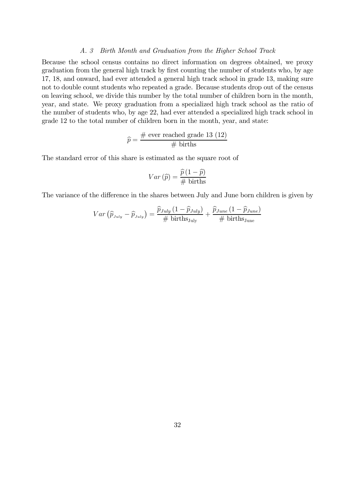#### *A. 3 Birth Month and Graduation from the Higher School Track*

Because the school census contains no direct information on degrees obtained, we proxy graduation from the general high track by first counting the number of students who, by age 17, 18, and onward, had ever attended a general high track school in grade 13, making sure not to double count students who repeated a grade. Because students drop out of the census on leaving school, we divide this number by the total number of children born in the month, year, and state. We proxy graduation from a specialized high track school as the ratio of the number of students who, by age 22, had ever attended a specialized high track school in grade 12 to the total number of children born in the month, year, and state:

$$
\widehat{p} = \frac{\text{\# ever reached grade 13 (12)}}{\text{\# births}}
$$

The standard error of this share is estimated as the square root of

$$
Var\left(\widehat{p}\right) = \frac{\widehat{p}\left(1-\widehat{p}\right)}{\text{\# births}}
$$

The variance of the difference in the shares between July and June born children is given by

$$
Var\left(\widehat{p}_{\text{July}} - \widehat{p}_{\text{July}}\right) = \frac{\widehat{p}_{\text{July}}\left(1 - \widehat{p}_{\text{July}}\right)}{\# \text{ births}_{\text{July}}} + \frac{\widehat{p}_{\text{June}}\left(1 - \widehat{p}_{\text{June}}\right)}{\# \text{ births}_{\text{June}}}
$$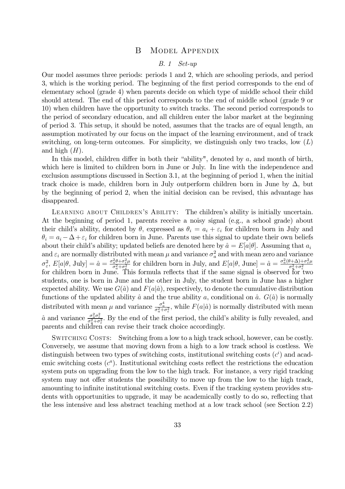#### B Model Appendix

#### *B. 1 Set-up*

Our model assumes three periods: periods 1 and 2, which are schooling periods, and period 3, which is the working period. The beginning of the first period corresponds to the end of elementary school (grade 4) when parents decide on which type of middle school their child should attend. The end of this period corresponds to the end of middle school (grade 9 or 10) when children have the opportunity to switch tracks. The second period corresponds to the period of secondary education, and all children enter the labor market at the beginning of period 3. This setup, it should be noted, assumes that the tracks are of equal length, an assumption motivated by our focus on the impact of the learning environment, and of track switching, on long-term outcomes. For simplicity, we distinguish only two tracks, low  $(L)$ and high  $(H)$ .

In this model, children differ in both their "ability", denoted by  $a$ , and month of birth, which here is limited to children born in June or July. In line with the independence and exclusion assumptions discussed in Section 3.1, at the beginning of period 1, when the initial track choice is made, children born in July outperform children born in June by  $\Delta$ , but by the beginning of period 2, when the initial decision can be revised, this advantage has disappeared.

LEARNING ABOUT CHILDREN'S ABILITY: The children's ability is initially uncertain. At the beginning of period 1, parents receive a noisy signal (e.g., a school grade) about their child's ability, denoted by  $\theta$ , expressed as  $\theta_i = a_i + \varepsilon_i$  for children born in July and  $\theta_i = a_i - \Delta + \varepsilon_i$  for children born in June. Parents use this signal to update their own beliefs about their child's ability; updated beliefs are denoted here by  $\hat{a} = E[a|\theta]$ . Assuming that  $a_i$ and  $\varepsilon_i$  are normally distributed with mean  $\mu$  and variance  $\sigma_a^2$  and with mean zero and variance  $\sigma_{\varepsilon}^2$ ,  $E[a|\theta, \text{ July}] = \hat{a} = \frac{\sigma_a^2 \theta + \sigma_{\varepsilon}^2 \mu}{\sigma_a^2 + \sigma_{\varepsilon}^2}$  $\frac{2}{a^2 + \sigma_{\varepsilon}^2 \mu}$  for children born in July, and  $E[a|\theta, \text{ June}] = \hat{a} = \frac{\sigma_a^2(\theta + \Delta) + \sigma_{\varepsilon}^2 \mu}{\sigma_a^2 + \sigma_{\varepsilon}^2}$  $\sigma_{\varepsilon}$ ,  $\mathcal{L}[\omega|\nu, \omega]$ ,  $\sigma_{\varepsilon}$  and  $\sigma_{\varepsilon}$  are  $\sigma_{\varepsilon}$  and  $\sigma_{\varepsilon}$  are  $\sigma_{\varepsilon}$  and  $\sigma_{\varepsilon}$  and  $\sigma_{\varepsilon}$  are  $\sigma_{\varepsilon}$  and  $\sigma_{\varepsilon}$  are  $\sigma_{\varepsilon}$  and  $\sigma_{\varepsilon}$  are signal is observed for two students, one is born in June and the other in July, the student born in June has a higher expected ability. We use  $G(\hat{a})$  and  $F(a|\hat{a})$ , respectively, to denote the cumulative distribution functions of the updated ability  $\hat{a}$  and the true ability  $a$ , conditional on  $\hat{a}$ .  $G(\hat{a})$  is normally distributed with mean  $\mu$  and variance  $\frac{\sigma_a^4}{\sigma_a^2+\sigma_s^2}$ , while  $F(a|\hat{a})$  is normally distributed with mean  $\hat{a}$  and variance  $\frac{\sigma_a^2 \sigma_{\varepsilon}^2}{\sigma_q^2 + \sigma_{\varepsilon}^2}$ . By the end of the first period, the child's ability is fully revealed, and parents and children can revise their track choice accordingly.

Switching Costs: Switching from a low to a high track school, however, can be costly. Conversely, we assume that moving down from a high to a low track school is costless. We distinguish between two types of switching costs, institutional switching costs  $(c<sup>i</sup>)$  and academic switching costs  $(c<sup>a</sup>)$ . Institutional switching costs reflect the restrictions the education system puts on upgrading from the low to the high track. For instance, a very rigid tracking system may not offer students the possibility to move up from the low to the high track, amounting to infinite institutional switching costs. Even if the tracking system provides students with opportunities to upgrade, it may be academically costly to do so, reflecting that the less intensive and less abstract teaching method at a low track school (see Section 2.2)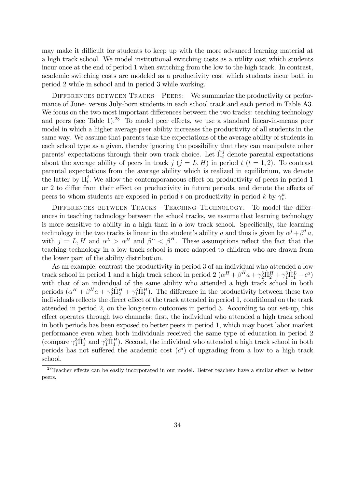may make it difficult for students to keep up with the more advanced learning material at a high track school. We model institutional switching costs as a utility cost which students incur once at the end of period 1 when switching from the low to the high track. In contrast, academic switching costs are modeled as a productivity cost which students incur both in period 2 while in school and in period 3 while working.

DIFFERENCES BETWEEN TRACKS—PEERS: We summarize the productivity or performance of June- versus July-born students in each school track and each period in Table A3. We focus on the two most important differences between the two tracks: teaching technology and peers (see Table 1).<sup>28</sup> To model peer effects, we use a standard linear-in-means peer model in which a higher average peer ability increases the productivity of all students in the same way. We assume that parents take the expectations of the average ability of students in each school type as a given, thereby ignoring the possibility that they can manipulate other parents' expectations through their own track choice. Let  $\hat{\Pi}^j_t$  denote parental expectations about the average ability of peers in track  $j$   $(j = L, H)$  in period  $t$   $(t = 1, 2)$ . To contrast parental expectations from the average ability which is realized in equilibrium, we denote the latter by  $\Pi_t^j$  $\mathcal{C}_t^j$ . We allow the contemporaneous effect on productivity of peers in period 1 or 2 to differ from their effect on productivity in future periods, and denote the effects of peers to whom students are exposed in period t on productivity in period k by  $\gamma_t^k$ .

DIFFERENCES BETWEEN TRACKS—TEACHING TECHNOLOGY: To model the differences in teaching technology between the school tracks, we assume that learning technology is more sensitive to ability in a high than in a low track school. Specifically, the learning technology in the two tracks is linear in the student's ability a and thus is given by  $\alpha^{j} + \beta^{j} a$ , with  $j = L, H$  and  $\alpha^L > \alpha^H$  and  $\beta^L < \beta^H$ . These assumptions reflect the fact that the teaching technology in a low track school is more adapted to children who are drawn from the lower part of the ability distribution.

As an example, contrast the productivity in period 3 of an individual who attended a low track school in period 1 and a high track school in period 2  $(\alpha^H + \beta^H a + \gamma_2^3 \hat{\Pi}_2^H + \gamma_1^3 \hat{\Pi}_1^L - c^a)$ with that of an individual of the same ability who attended a high track school in both periods  $(\alpha^H + \beta^H a + \gamma_2^3 \hat{\Pi}_2^H + \gamma_1^3 \hat{\Pi}_1^H)$ . The difference in the productivity between these two individuals reflects the direct effect of the track attended in period 1, conditional on the track attended in period 2, on the long-term outcomes in period 3. According to our set-up, this effect operates through two channels: first, the individual who attended a high track school in both periods has been exposed to better peers in period 1, which may boost labor market performance even when both individuals received the same type of education in period 2 (compare  $\gamma_1^3 \hat{\Pi}_1^L$  and  $\gamma_1^3 \hat{\Pi}_1^H$ ). Second, the individual who attended a high track school in both periods has not suffered the academic cost  $(c<sup>a</sup>)$  of upgrading from a low to a high track school.

 $28$ Teacher effects can be easily incorporated in our model. Better teachers have a similar effect as better peers.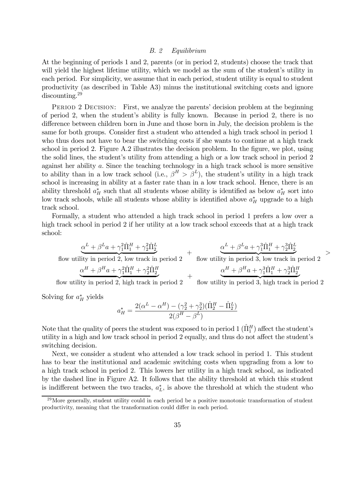#### *B. 2 Equilibrium*

At the beginning of periods 1 and 2, parents (or in period 2, students) choose the track that will yield the highest lifetime utility, which we model as the sum of the student's utility in each period. For simplicity, we assume that in each period, student utility is equal to student productivity (as described in Table A3) minus the institutional switching costs and ignore discounting.<sup>29</sup>

PERIOD 2 DECISION: First, we analyze the parents' decision problem at the beginning of period 2, when the student's ability is fully known. Because in period 2, there is no difference between children born in June and those born in July, the decision problem is the same for both groups. Consider first a student who attended a high track school in period 1 who thus does not have to bear the switching costs if she wants to continue at a high track school in period 2. Figure A.2 illustrates the decision problem. In the figure, we plot, using the solid lines, the student's utility from attending a high or a low track school in period 2 against her ability  $a$ . Since the teaching technology in a high track school is more sensitive to ability than in a low track school (i.e.,  $\beta^H > \beta^L$ ), the student's utility in a high track school is increasing in ability at a faster rate than in a low track school. Hence, there is an ability threshold  $a_H^*$  such that all students whose ability is identified as below  $a_H^*$  sort into low track schools, while all students whose ability is identified above  $a_H^*$  upgrade to a high track school.

Formally, a student who attended a high track school in period 1 prefers a low over a high track school in period 2 if her utility at a low track school exceeds that at a high track school:

flow utility in period 2, low track in period 2\n
$$
\frac{\alpha^L + \beta^L a + \gamma_1^2 \hat{\Pi}_1^H + \gamma_2^2 \hat{\Pi}_2^L}{\alpha^H + \beta^H a + \gamma_1^2 \hat{\Pi}_1^H + \gamma_2^2 \hat{\Pi}_2^H}
$$
\n
$$
+ \frac{\alpha^L + \beta^L a + \gamma_1^3 \hat{\Pi}_1^H + \gamma_2^3 \hat{\Pi}_2^L}{\alpha^H + \beta^H a + \gamma_1^2 \hat{\Pi}_1^H + \gamma_2^2 \hat{\Pi}_2^H}
$$
\n
$$
+ \frac{\alpha^H + \beta^H a + \gamma_1^3 \hat{\Pi}_1^H + \gamma_2^3 \hat{\Pi}_2^H}{\alpha^H + \beta^H a + \gamma_1^3 \hat{\Pi}_1^H + \gamma_2^3 \hat{\Pi}_2^H}
$$

 $\geq$ 

flow utility in period 2, high track in period  $2$ flow utility in period 3, high track in period  $2$ 

Solving for  $a_H^*$  yields

$$
a_H^* = \frac{2(\alpha^L - \alpha^H) - (\gamma_2^2 + \gamma_2^3)(\hat{\Pi}_2^H - \hat{\Pi}_2^L)}{2(\beta^H - \beta^L)}
$$

Note that the quality of peers the student was exposed to in period  $1$   $(\hat{\Pi}_{1}^{H})$  affect the student's utility in a high and low track school in period 2 equally, and thus do not affect the student's switching decision.

Next, we consider a student who attended a low track school in period 1. This student has to bear the institutional and academic switching costs when upgrading from a low to a high track school in period 2. This lowers her utility in a high track school, as indicated by the dashed line in Figure A2. It follows that the ability threshold at which this student is indifferent between the two tracks,  $a<sub>L</sub><sup>*</sup>$ , is above the threshold at which the student who

 $^{29}$ More generally, student utility could in each period be a positive monotonic transformation of student productivity, meaning that the transformation could differ in each period.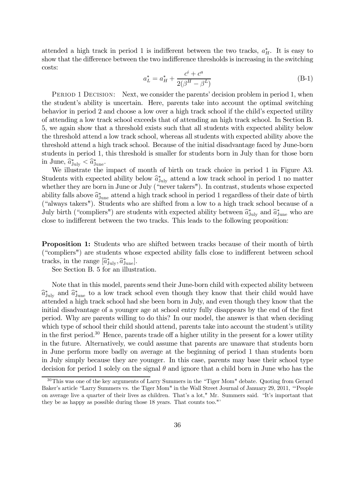attended a high track in period 1 is indifferent between the two tracks,  $a_H^*$ . It is easy to show that the difference between the two indifference thresholds is increasing in the switching costs:

$$
a_L^* = a_H^* + \frac{c^i + c^a}{2(\beta^H - \beta^L)}
$$
 (B-1)

PERIOD 1 DECISION: Next, we consider the parents' decision problem in period 1, when the student's ability is uncertain. Here, parents take into account the optimal switching behavior in period 2 and choose a low over a high track school if the child's expected utility of attending a low track school exceeds that of attending an high track school. In Section B. 5, we again show that a threshold exists such that all students with expected ability below the threshold attend a low track school, whereas all students with expected ability above the threshold attend a high track school. Because of the initial disadvantage faced by June-born students in period 1, this threshold is smaller for students born in July than for those born  $\text{in June}, \hat{a}^*_{\text{July}} < \hat{a}^*_{\text{June}}.$ 

We illustrate the impact of month of birth on track choice in period 1 in Figure A3. Students with expected ability below  $\hat{a}_{\text{July}}^*$  attend a low track school in period 1 no matter whether they are born in June or July ("never takers"). In contrast, students whose expected ability falls above  $\hat{a}_{\text{June}}^*$  attend a high track school in period 1 regardless of their date of birth  $(\hat{a}_{\text{old}})$ ("always takers"). Students who are shifted from a low to a high track school because of a July birth ("compliers") are students with expected ability between  $\hat{a}^*_{\text{July}}$  and  $\hat{a}^*_{\text{June}}$  who are close to indifferent between the two tracks. This leads to the following proposition:

Proposition 1: Students who are shifted between tracks because of their month of birth ("compliers") are students whose expected ability falls close to indifferent between school tracks, in the range  $[\hat{a}_{\text{July}}^*, \hat{a}_{\text{June}}^*]$ .

See Section B. 5 for an illustration.

Note that in this model, parents send their June-born child with expected ability between  $\hat{a}_{\text{July}}^*$  and  $\hat{a}_{\text{June}}^*$  to a low track school even though they know that their child would have attended a high track school had she been born in July, and even though they know that the initial disadvantage of a younger age at school entry fully disappears by the end of the first period. Why are parents willing to do this? In our model, the answer is that when deciding which type of school their child should attend, parents take into account the student's utility in the first period.<sup>30</sup> Hence, parents trade off a higher utility in the present for a lower utility in the future. Alternatively, we could assume that parents are unaware that students born in June perform more badly on average at the beginning of period 1 than students born in July simply because they are younger. In this case, parents may base their school type decision for period 1 solely on the signal  $\theta$  and ignore that a child born in June who has the

<sup>30</sup>This was one of the key arguments of Larry Summers in the "Tiger Mom" debate. Quoting from Gerard Baker's article "Larry Summers vs. the Tiger Mom" in the Wall Street Journal of January 29, 2011, "'People on average live a quarter of their lives as children. That's a lot," Mr. Summers said. "It's important that they be as happy as possible during those 18 years. That counts too."'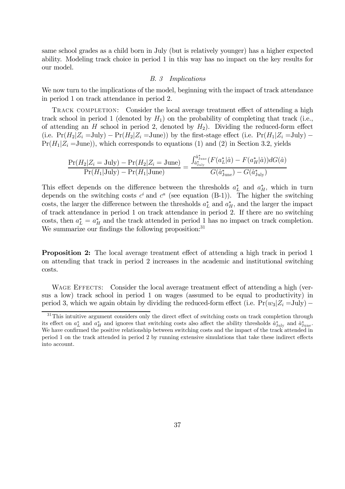same school grades as a child born in July (but is relatively younger) has a higher expected ability. Modeling track choice in period 1 in this way has no impact on the key results for our model.

#### *B. 3 Implications*

We now turn to the implications of the model, beginning with the impact of track attendance in period 1 on track attendance in period 2.

TRACK COMPLETION: Consider the local average treatment effect of attending a high track school in period 1 (denoted by  $H_1$ ) on the probability of completing that track (i.e., of attending an  $H$  school in period 2, denoted by  $H_2$ ). Dividing the reduced-form effect (i.e.  $Pr(H_2|Z_i = \text{July}) - Pr(H_2|Z_i = \text{June})$ ) by the first-stage effect (i.e.  $Pr(H_1|Z_i = \text{July}) Pr(H_1|Z_i=June))$ , which corresponds to equations (1) and (2) in Section 3.2, yields

$$
\frac{\Pr(H_2|Z_i = \text{July}) - \Pr(H_2|Z_i = \text{June})}{\Pr(H_1|\text{July}) - \Pr(H_1|\text{June})} = \frac{\int_{\hat{a}_{\text{July}}^*}^{\hat{a}_{\text{June}}^*} (F(a_L^*|\hat{a}) - F(a_H^*|\hat{a})) dG(\hat{a})}{G(\hat{a}_{\text{June}}^*) - G(\hat{a}_{\text{July}}^*)}
$$

This effect depends on the difference between the thresholds  $a<sub>L</sub><sup>*</sup>$  and  $a<sub>H</sub><sup>*</sup>$ , which in turn depends on the switching costs  $c^i$  and  $c^a$  (see equation (B-1)). The higher the switching costs, the larger the difference between the thresholds  $a<sub>L</sub><sup>*</sup>$  and  $a<sub>H</sub><sup>*</sup>$ , and the larger the impact of track attendance in period 1 on track attendance in period 2. If there are no switching costs, then  $a_L^* = a_H^*$  and the track attended in period 1 has no impact on track completion. We summarize our findings the following proposition: $31$ 

**Proposition 2:** The local average treatment effect of attending a high track in period 1 on attending that track in period 2 increases in the academic and institutional switching costs.

WAGE EFFECTS: Consider the local average treatment effect of attending a high (versus a low) track school in period 1 on wages (assumed to be equal to productivity) in period 3, which we again obtain by dividing the reduced-form effect (i.e.  $Pr(w_3|Z_i = \text{July})$  –

 $31$ This intuitive argument considers only the direct effect of switching costs on track completion through its effect on  $a_L^*$  and  $a_H^*$  and ignores that switching costs also affect the ability thresholds  $\hat{a}_{\text{July}}^*$  and  $\hat{a}_{\text{June}}^*$ . We have confirmed the positive relationship between switching costs and the impact of the track attended in period 1 on the track attended in period 2 by running extensive simulations that take these indirect effects into account.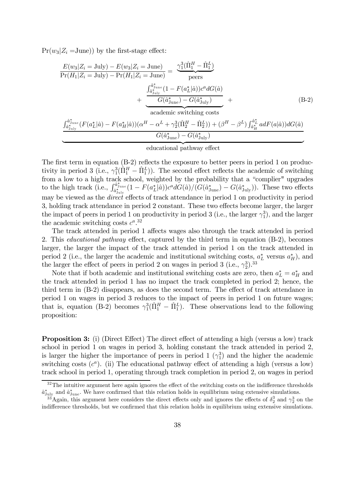$Pr(w_3|Z_i=June)$ ) by the first-stage effect:

$$
\frac{E(w_3|Z_i = \text{July}) - E(w_3|Z_i = \text{June})}{\Pr(H_1|Z_i = \text{July}) - \Pr(H_1|Z_i = \text{June})} = \frac{\gamma_1^3 (\hat{\Pi}_1^H - \hat{\Pi}_1^L)}{\text{peers}} + \frac{\int_{\hat{a}_{\text{July}}^*}^{\hat{a}_{\text{June}}^*} (1 - F(a_L^*|\hat{a})) c^a dG(\hat{a})}{G(\hat{a}_{\text{June}}^*) - G(\hat{a}_{\text{July}}^*)} + \frac{\int_{\hat{a}_{\text{July}}}^{\hat{a}_{\text{June}}^*} (1 - F(a_L^*|\hat{a})) c^a dG(\hat{a})}{\text{academic switching costs}} \tag{B-2}
$$

$$
\frac{\int_{\hat{a}_{\text{July}}^*}^{\hat{a}_{\text{June}}^*} (F(a_L^*|\hat{a}) - F(a_H^*|\hat{a})) (\alpha^H - \alpha^L + \gamma_2^3 (\hat{\Pi}_2^H - \hat{\Pi}_2^L)) + (\beta^H - \beta^L) \int_{\hat{a}_H^*}^{\hat{a}_L^*} adF(a|\hat{a})) dG(\hat{a})}{G(\hat{a}_{\text{June}}^*) - G(\hat{a}_{\text{July}}^*)}
$$
\n
$$
\frac{d\hat{a}_{\text{July}}}{\text{ educational pathway effect}}
$$

The first term in equation  $(B-2)$  reflects the exposure to better peers in period 1 on productivity in period 3 (i.e.,  $\gamma_1^3(\hat{\Pi}_1^H - \hat{\Pi}_1^L)$ ). The second effect reflects the academic of switching  $1^{11}$   $-11$ from a low to a high track school, weighted by the probability that a "complier" upgrades to the high track (i.e.,  $\int_{\hat{a}_{\text{July}}^*}^{\hat{a}_{\text{June}}^*} (1 - F(a_L^*|\hat{a})) c^a d\hat{G}(\hat{a}) / (\hat{G}(\hat{a}_{\text{June}}^*) - \hat{G}(\hat{a}_{\text{July}}^*) )$ . These two effects may be viewed as the *direct* effects of track attendance in period 1 on productivity in period 3, holding track attendance in period 2 constant. These two effects become larger, the larger the impact of peers in period 1 on productivity in period 3 (i.e., the larger  $\gamma_1^3$ ), and the larger the academic switching costs  $c^a$ <sup>32</sup>

The track attended in period 1 affects wages also through the track attended in period 2. This *educational pathway* effect, captured by the third term in equation (B-2), becomes larger, the larger the impact of the track attended in period 1 on the track attended in period 2 (i.e., the larger the academic and institutional switching costs,  $a<sub>L</sub><sup>*</sup>$  versus  $a<sub>H</sub><sup>*</sup>$ ), and the larger the effect of peers in period 2 on wages in period 3 (i.e.,  $\gamma_2^3$ ).<sup>33</sup>

Note that if both academic and institutional switching costs are zero, then  $a_L^* = a_H^*$  and the track attended in period 1 has no impact the track completed in period 2; hence, the third term in  $(B-2)$  disappears, as does the second term. The effect of track attendance in period 1 on wages in period 3 reduces to the impact of peers in period 1 on future wages; that is, equation (B-2) becomes  $\gamma_1^3(\hat{\Pi}_1^H - \hat{\Pi}_1^L)$ . These observations lead to the following proposition:

**Proposition 3:** (i) (Direct Effect) The direct effect of attending a high (versus a low) track school in period 1 on wages in period 3, holding constant the track attended in period 2, is larger the higher the importance of peers in period 1  $(\gamma_1^3)$  and the higher the academic switching costs  $(c^a)$ . (ii) The educational pathway effect of attending a high (versus a low) track school in period 1, operating through track completion in period 2, on wages in period

 $32$ The intuitive argument here again ignores the effect of the switching costs on the indifference thresholds  $\hat{a}_{\text{July}}^*$  and  $\hat{a}_{\text{June}}^*$ . We have confirmed that this relation holds in equilibrium using extensive simulations.

<sup>&</sup>lt;sup>33</sup>Again, this argument here considers the direct effects only and ignores the effects of  $\delta_2^3$  and  $\gamma_2^3$  on the indifference thresholds, but we confirmed that this relation holds in equilibrium using extensive simulations.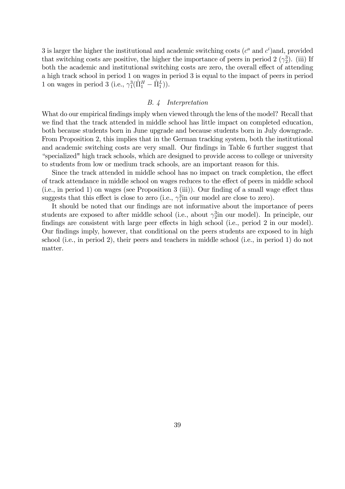3 is larger the higher the institutional and academic switching costs  $(c^a \text{ and } c^i)$  and, provided that switching costs are positive, the higher the importance of peers in period 2  $(\gamma_2^3)$ . (iii) If both the academic and institutional switching costs are zero, the overall effect of attending a high track school in period 1 on wages in period 3 is equal to the impact of peers in period 1 on wages in period 3 (i.e.,  $\gamma_1^3(\hat{\Pi}_1^H - \hat{\Pi}_1^L)$ ).

#### *B. 4 Interpretation*

What do our empirical findings imply when viewed through the lens of the model? Recall that we find that the track attended in middle school has little impact on completed education, both because students born in June upgrade and because students born in July downgrade. From Proposition 2, this implies that in the German tracking system, both the institutional and academic switching costs are very small. Our findings in Table 6 further suggest that "specialized" high track schools, which are designed to provide access to college or university to students from low or medium track schools, are an important reason for this.

Since the track attended in middle school has no impact on track completion, the effect of track attendance in middle school on wages reduces to the effect of peers in middle school  $(i.e., in period 1)$  on wages (see Proposition 3 (iii)). Our finding of a small wage effect thus suggests that this effect is close to zero (i.e.,  $\gamma_1^3$ in our model are close to zero).

It should be noted that our findings are not informative about the importance of peers students are exposed to after middle school (i.e., about  $\gamma_2^3$  in our model). In principle, our findings are consistent with large peer effects in high school (i.e., period 2 in our model). Our findings imply, however, that conditional on the peers students are exposed to in high school (i.e., in period 2), their peers and teachers in middle school (i.e., in period 1) do not matter.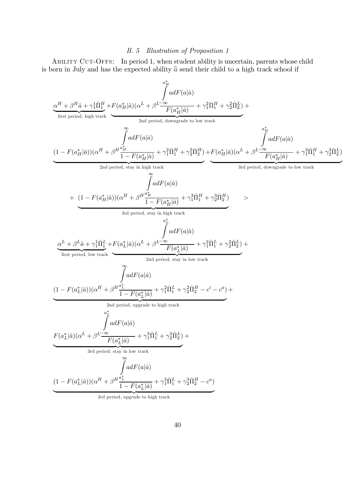### *B. 5 Illustration of Proposition 1*

ABILITY CUT-OFFS: In period 1, when student ability is uncertain, parents whose child is born in July and has the expected ability  $\hat{a}$  send their child to a high track school if

 + ^ + 1 <sup>1</sup>¦^ 1 | {z } + …rst period, high track ( ¤ j^)( + ¤ Z ¡1 (j^) ( ¤ j^) + 2 <sup>1</sup>¦^ <sup>1</sup> + 2 <sup>2</sup>¦^ 2 ) | {z } 2nd period, downgrade to low track + (1 ¡ ( ¤ j^))( + Z1 ¤ (j^) 1 ¡ ( ¤ j^) + 2 <sup>1</sup>¦^ <sup>1</sup> + 2 <sup>2</sup>¦^ 2 ) | {z } + 2nd period, stay in high track ( ¤ j^)( + ¤ Z ¡1 (j^) ( ¤ j^) + 3 <sup>1</sup>¦^ <sup>1</sup> + 3 <sup>2</sup>¦^ 2 ) | {z } 3rd period, downgrade to low track + (1 ¡ ( ¤ j^))( + Z1 ¤ (j^) 1 ¡ ( ¤ j^) + 3 <sup>1</sup>¦^ <sup>1</sup> + 3 <sup>2</sup>¦^ 2 ) | {z } 3rd period, stay in high track + ^ + 1 <sup>1</sup>¦^ 1 | {z } + …rst period, low track ( ¤ j^)( + ¤ Z ¡1 (j^) ( ¤ j^) + 2 <sup>1</sup>¦^ <sup>1</sup> + 2 <sup>2</sup>¦^ 2 ) | {z } 2nd period, stay in low track + (1 ¡ ( ¤ j^))( + Z1 ¤ (j^) 1 ¡ ( ¤ j^) + 2 <sup>1</sup>¦^ <sup>1</sup> + 2 <sup>2</sup>¦^ <sup>2</sup> ¡ ¡ ) | {z } + 2nd period, upgrade to high track ( ¤ j^)( + ¤ Z ¡1 (j^) ( ¤ j^) + 3 <sup>1</sup>¦^ <sup>1</sup> + 3 <sup>2</sup>¦^ 2 ) | {z } 3rd period, stay in low track + (1 ¡ ( ¤ j^))( + Z1 ¤ (j^) 1 ¡ ( ¤ j^) + 3 <sup>1</sup>¦^ <sup>1</sup> + 3 <sup>2</sup>¦^ <sup>2</sup> ¡ ) | {z } 3rd period, upgrade to high track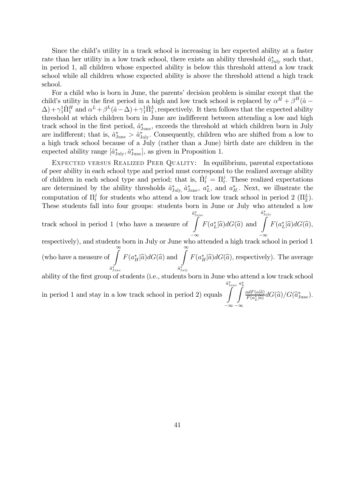Since the child's utility in a track school is increasing in her expected ability at a faster rate than her utility in a low track school, there exists an ability threshold  $\hat{a}^*_{\text{July}}$  such that, in period 1, all children whose expected ability is below this threshold attend a low track school while all children whose expected ability is above the threshold attend a high track school.

For a child who is born in June, the parents' decision problem is similar except that the child's utility in the first period in a high and low track school is replaced by  $\alpha^H + \beta^H(\hat{a} - \hat{b})$  $\Delta$ ) +  $\gamma_1^1 \hat{\Pi}_1^H$  and  $\alpha^L + \beta^L(\hat{a} - \Delta) + \gamma_1^1 \hat{\Pi}_1^L$ , respectively. It then follows that the expected ability threshold at which children born in June are indifferent between attending a low and high track school in the first period,  $\hat{a}^*_{\text{June}}$ , exceeds the threshold at which children born in July are indifferent; that is,  $\hat{a}_{\text{June}}^* > \hat{a}_{\text{July}}^*$ . Consequently, children who are shifted from a low to a high track school because of a July (rather than a June) birth date are children in the expected ability range  $[\hat{a}^*_{\text{July}}, \hat{a}^*_{\text{June}}]$ , as given in Proposition 1.

EXPECTED VERSUS REALIZED PEER QUALITY: In equilibrium, parental expectations of peer ability in each school type and period must correspond to the realized average ability of children in each school type and period; that is,  $\hat{\Pi}_{t}^{j} = \Pi_{t}^{j}$ . These realized expectations are determined by the ability thresholds  $\hat{a}_{\text{July}}^*$ ,  $\hat{a}_{\text{June}}^*$ ,  $a_L^*$ , and  $a_H^*$ . Next, we illustrate the computation of  $\Pi_t^j$  $\frac{d}{dt}$  for students who attend a low track low track school in period 2 ( $\Pi_2^L$ ). These students fall into four groups: students born in June or July who attended a low

track school in period 1 (who have a measure of  $\overset{\hat{a}^{\ast}_{\rm June}}{\int}$  $-\infty$  $F(a_L^*|\hat{a})dG(\hat{a})$  and  $\hat{a}^*_{\text{I}}$  $\int$  $-\infty$  $F(a^*_{L}|\widehat{a})dG(\widehat{a}),$ 

respectively), and students born in July or June who attended a high track school in period 1 (who have a measure of  $\int_{0}^{\infty}$  $\hat{a}^*_\mathrm{June}$  $F(a_I^*$  $\int_{H}^{\ast}|\widehat{a}\big)dG(\widehat{a})\text{ and }\int_{0}^{\infty}% \int_{0}^{\infty}d\widehat{a}x\text{ }\left( \frac{1}{\widehat{a}}\right)A^{T}\left( \widehat{a}\right)$  $\hat{a}^*_{\rm July}$  $F(a^*_H | \hat{a}) dG(\hat{a})$ , respectively). The average

ability of the first group of students (i.e., students born in June who attend a low track school

in period 1 and stay in a low track school in period 2) equals  $\overset{\hat{a}_{\rm June}^*}{\int}$  $-\infty$  $a_L^*$  $-\infty$  $\frac{adF(a|\widehat{a})}{F(a_L^*|\widehat{a})}dG(\widehat{a})/G(\widehat{a}_{\rm June}^*).$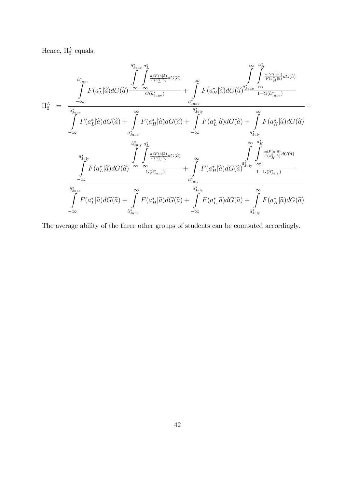Hence,  $\Pi_2^L$  equals:

$$
\Pi_{2}^{L} = \frac{\int_{\alpha_{j_{\text{une}}}^{*}}^{\hat{a}_{j_{\text{une}}}^{*}} \int_{\alpha_{\tilde{L}}^{*}[\hat{a}]}^{\hat{a}_{j_{\text{une}}}^{*}} d\tilde{c}(\hat{a})}{\int_{-\infty}^{\alpha_{\tilde{L}}^{*}} F(a_{L}^{*}|\hat{a}) dG(\hat{a}) \frac{-\infty - \infty}{G(\hat{a}_{j_{\text{une}}}^{*})}} + \int_{\alpha_{j_{\text{une}}}^{*}}^{\alpha_{\tilde{L}}^{*}} F(a_{H}^{*}|\hat{a}) dG(\hat{a}) \frac{\hat{a}_{j_{\text{une}}}^{*}}{1 - G(\hat{a}_{j_{\text{une}}}^{*})}}{\hat{a}_{j_{\text{une}}}^{*}} + \frac{\int_{\alpha_{j_{\text{une}}}^{*}}^{\hat{a}_{j_{\text{une}}}^{*}} F(a_{L}^{*}|\hat{a}) dG(\hat{a}) + \int_{\alpha_{j_{\text{une}}}^{*}}^{\hat{a}_{j_{\text{une}}}^{*}} F(a_{L}^{*}|\hat{a}) dG(\hat{a})}{\hat{a}_{j_{\text{sup}}}^{*}} + \frac{\int_{\alpha_{j_{\text{une}}}^{*}}^{\hat{a}_{j_{\text{sup}}}^{*}} F(a_{L}^{*}|\hat{a}) dG(\hat{a})}{\hat{a}_{j_{\text{sup}}}^{*}} + \frac{\int_{\alpha_{j_{\text{sup}}}^{*}}^{\hat{a}_{j_{\text{sup}}}^{*}} F(a_{L}^{*}|\hat{a}) dG(\hat{a})}{\hat{a}_{j_{\text{sup}}}^{*}} + \frac{\int_{\alpha_{j_{\text{sup}}}^{*}}^{\hat{a}_{j_{\text{sup}}}^{*}} F(a_{L}^{*}|\hat{a}) dG(\hat{a})}{\int_{-\infty}^{\alpha_{j_{\text{une}}}^{*}} F(a_{L}^{*}|\hat{a}) dG(\hat{a}) \frac{-\infty - \infty}{G(\hat{a}_{j_{\text{une}}}^{*})}} + \int_{\alpha_{j_{\text{sup}}}^{*}}^{\alpha_{j_{\text{sup}}}^{*}} F(a_{H}^{*}|\hat{a}) dG(\hat{a}) \frac{\hat{a}_{j_{\text{sup}}}^{*}}{1 - G(\hat{a}_{j_{\text{sup}}}^{*})} + \frac{\int_{\alpha_{j_{\text{sup}}}^{*
$$

The average ability of the three other groups of students can be computed accordingly.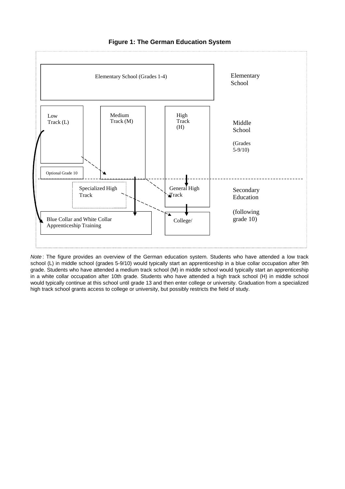

#### **Figure 1: The German Education System**

*Note* : The figure provides an overview of the German education system. Students who have attended a low track school (L) in middle school (grades 5-9/10) would typically start an apprenticeship in a blue collar occupation after 9th grade. Students who have attended a medium track school (M) in middle school would typically start an apprenticeship in a white collar occupation after 10th grade. Students who have attended a high track school (H) in middle school would typically continue at this school until grade 13 and then enter college or university. Graduation from a specialized high track school grants access to college or university, but possibly restricts the field of study.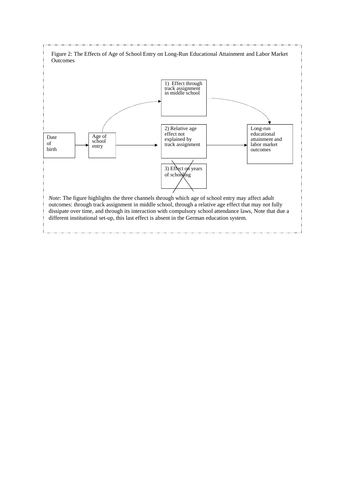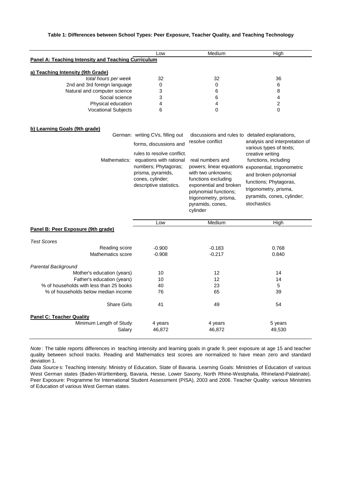#### **Table 1: Differences between School Types: Peer Exposure, Teacher Quality, and Teaching Technology**

|                                                     | Low | Medium | High |
|-----------------------------------------------------|-----|--------|------|
| Panel A: Teaching Intensity and Teaching Curriculum |     |        |      |
| a) Teaching Intensity (9th Grade)                   |     |        |      |
| total hours per week                                | 32  | 32     | 36   |
| 2nd and 3rd foreign language                        | 0   |        | 6    |
| Natural and computer science                        |     |        |      |
| Social science                                      |     | 6      |      |
| Physical education                                  | 4   |        |      |
| <b>Vocational Subjects</b>                          |     |        |      |

#### **b) Learning Goals (9th grade)**

| Mathematics:                            | German: writing CVs, filling out<br>forms, discussions and<br>rules to resolve conflict.<br>equations with rational<br>numbers; Phytagoras;<br>prisma, pyramids,<br>cones, cylinder;<br>descriptive statistics. | discussions and rules to detailed explanations,<br>resolve conflict<br>real numbers and<br>powers; linear equations<br>with two unknowns:<br>functions excluding<br>exponential and broken<br>polynomial functions;<br>trigonometry, prisma, | analysis and interpretation of<br>various types of texts;<br>creative writing<br>functions, including<br>exponential, trigonometric<br>and broken polynomial<br>functions; Phytagoras,<br>trigonometry, prisma,<br>pyramids, cones, cylinder; |
|-----------------------------------------|-----------------------------------------------------------------------------------------------------------------------------------------------------------------------------------------------------------------|----------------------------------------------------------------------------------------------------------------------------------------------------------------------------------------------------------------------------------------------|-----------------------------------------------------------------------------------------------------------------------------------------------------------------------------------------------------------------------------------------------|
|                                         |                                                                                                                                                                                                                 | pyramids, cones,<br>cylinder                                                                                                                                                                                                                 | stochastics                                                                                                                                                                                                                                   |
|                                         | Low                                                                                                                                                                                                             | Medium                                                                                                                                                                                                                                       | High                                                                                                                                                                                                                                          |
| Panel B: Peer Exposure (9th grade)      |                                                                                                                                                                                                                 |                                                                                                                                                                                                                                              |                                                                                                                                                                                                                                               |
| <b>Test Scores</b>                      |                                                                                                                                                                                                                 |                                                                                                                                                                                                                                              |                                                                                                                                                                                                                                               |
| Reading score                           | $-0.900$                                                                                                                                                                                                        | $-0.183$                                                                                                                                                                                                                                     | 0.768                                                                                                                                                                                                                                         |
| Mathematics score                       | $-0.908$                                                                                                                                                                                                        | $-0.217$                                                                                                                                                                                                                                     | 0.840                                                                                                                                                                                                                                         |
| Parental Background                     |                                                                                                                                                                                                                 |                                                                                                                                                                                                                                              |                                                                                                                                                                                                                                               |
| Mother's education (years)              | 10                                                                                                                                                                                                              | 12                                                                                                                                                                                                                                           | 14                                                                                                                                                                                                                                            |
| Father's education (years)              | 10                                                                                                                                                                                                              | 12                                                                                                                                                                                                                                           | 14                                                                                                                                                                                                                                            |
| % of households with less than 25 books | 40                                                                                                                                                                                                              | 23                                                                                                                                                                                                                                           | 5                                                                                                                                                                                                                                             |
| % of households below median income     | 76                                                                                                                                                                                                              | 65                                                                                                                                                                                                                                           | 39                                                                                                                                                                                                                                            |
| <b>Share Girls</b>                      | 41                                                                                                                                                                                                              | 49                                                                                                                                                                                                                                           | 54                                                                                                                                                                                                                                            |
| <b>Panel C: Teacher Quality</b>         |                                                                                                                                                                                                                 |                                                                                                                                                                                                                                              |                                                                                                                                                                                                                                               |
| Minimum Length of Study                 | 4 years                                                                                                                                                                                                         | 4 years                                                                                                                                                                                                                                      | 5 years                                                                                                                                                                                                                                       |
| Salary                                  | 46,872                                                                                                                                                                                                          | 46,872                                                                                                                                                                                                                                       | 49,530                                                                                                                                                                                                                                        |
|                                         |                                                                                                                                                                                                                 |                                                                                                                                                                                                                                              |                                                                                                                                                                                                                                               |

*Note* : The table reports differences in teaching intensity and learning goals in grade 9, peer exposure at age 15 and teacher quality between school tracks. Reading and Mathematics test scores are normalized to have mean zero and standard deviation 1.

*Data Source* s: Teaching Intensity: Ministry of Education, State of Bavaria. Learning Goals: Ministries of Education of various West German states (Baden-Württemberg, Bavaria, Hesse, Lower Saxony, North Rhine-Westphalia, Rhineland-Palatinate). Peer Exposure: Programme for International Student Assessment (PISA), 2003 and 2006. Teacher Quality: various Ministries of Education of various West German states.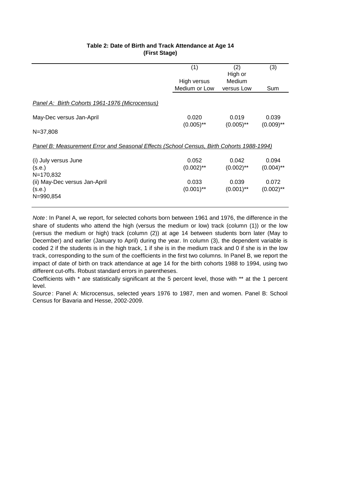|                                                                                          | (1)                   | (2)                   | (3)                   |
|------------------------------------------------------------------------------------------|-----------------------|-----------------------|-----------------------|
|                                                                                          |                       | High or               |                       |
|                                                                                          | High versus           | Medium                |                       |
|                                                                                          | Medium or Low         | versus Low            | Sum                   |
| Panel A: Birth Cohorts 1961-1976 (Microcensus)                                           |                       |                       |                       |
| May-Dec versus Jan-April                                                                 | 0.020<br>$(0.005)$ ** | 0.019<br>$(0.005)$ ** | 0.039<br>$(0.009)$ ** |
| $N = 37,808$                                                                             |                       |                       |                       |
| Panel B: Measurement Error and Seasonal Effects (School Census, Birth Cohorts 1988-1994) |                       |                       |                       |
| (i) July versus June                                                                     | 0.052                 | 0.042                 | 0.094                 |
| (s.e.)                                                                                   | $(0.002)$ **          | $(0.002)$ **          | $(0.004)$ **          |
| N=170,832                                                                                |                       |                       |                       |
| (ii) May-Dec versus Jan-April                                                            | 0.033                 | 0.039                 | 0.072                 |
| (s.e.)                                                                                   | $(0.001)$ **          | $(0.001)$ **          | $(0.002)$ **          |
| N=990,854                                                                                |                       |                       |                       |

#### **Table 2: Date of Birth and Track Attendance at Age 14 (First Stage)**

*Note* : In Panel A, we report, for selected cohorts born between 1961 and 1976, the difference in the share of students who attend the high (versus the medium or low) track (column (1)) or the low (versus the medium or high) track (column (2)) at age 14 between students born later (May to December) and earlier (January to April) during the year. In column (3), the dependent variable is coded 2 if the students is in the high track, 1 if she is in the medium track and 0 if she is in the low track, corresponding to the sum of the coefficients in the first two columns. In Panel B, we report the impact of date of birth on track attendance at age 14 for the birth cohorts 1988 to 1994, using two different cut-offs. Robust standard errors in parentheses.

Coefficients with \* are statistically significant at the 5 percent level, those with \*\* at the 1 percent level.

*Source* : Panel A: Microcensus, selected years 1976 to 1987, men and women. Panel B: School Census for Bavaria and Hesse, 2002-2009.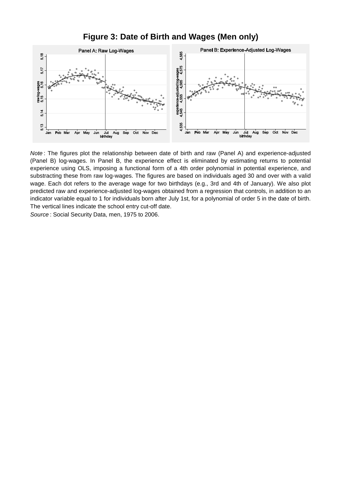

**Figure 3: Date of Birth and Wages (Men only)**

*Note* : The figures plot the relationship between date of birth and raw (Panel A) and experience-adjusted (Panel B) log-wages. In Panel B, the experience effect is eliminated by estimating returns to potential experience using OLS, imposing a functional form of a 4th order polynomial in potential experience, and substracting these from raw log-wages. The figures are based on individuals aged 30 and over with a valid wage. Each dot refers to the average wage for two birthdays (e.g., 3rd and 4th of January). We also plot predicted raw and experience-adjusted log-wages obtained from a regression that controls, in addition to an indicator variable equal to 1 for individuals born after July 1st, for a polynomial of order 5 in the date of birth. The vertical lines indicate the school entry cut-off date.

*Source* : Social Security Data, men, 1975 to 2006.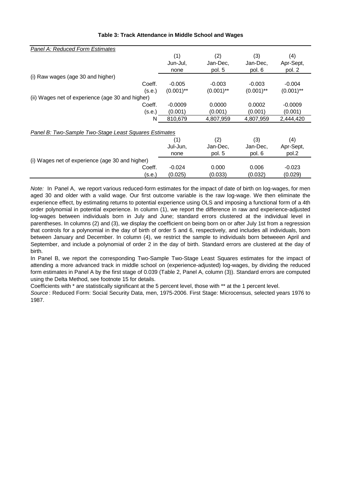| Panel A: Reduced Form Estimates                       |        |                         |              |              |              |  |
|-------------------------------------------------------|--------|-------------------------|--------------|--------------|--------------|--|
|                                                       |        | (1)                     | (2)          | (3)          | (4)          |  |
|                                                       |        | Jun-Jul.                | Jan-Dec,     | Jan-Dec,     | Apr-Sept,    |  |
|                                                       |        | none                    | pol. 5       | pol. 6       | pol. 2       |  |
| (i) Raw wages (age 30 and higher)                     |        |                         |              |              |              |  |
| Coeff.                                                |        | $-0.005$                | $-0.003$     | $-0.003$     | $-0.004$     |  |
|                                                       | (s.e.) | $(0.001)$ <sup>**</sup> | $(0.001)$ ** | $(0.001)$ ** | $(0.001)$ ** |  |
| (ii) Wages net of experience (age 30 and higher)      |        |                         |              |              |              |  |
| Coeff.                                                |        | $-0.0009$               | 0.0000       | 0.0002       | $-0.0009$    |  |
|                                                       | (s.e.) | (0.001)                 | (0.001)      | (0.001)      | (0.001)      |  |
|                                                       | N      | 810,679                 | 4,807,959    | 4,807,959    | 2,444,420    |  |
|                                                       |        |                         |              |              |              |  |
| Panel B: Two-Sample Two-Stage Least Squares Estimates |        |                         |              |              |              |  |
|                                                       |        | (1)                     | (2)          | (3)          | (4)          |  |
|                                                       |        | Jul-Jun.                | Jan-Dec.     | Jan-Dec.     | Apr-Sept,    |  |
|                                                       |        | none                    | pol. 5       | pol. 6       | pol.2        |  |
| (i) Wages net of experience (age 30 and higher)       |        |                         |              |              |              |  |
| Coeff.                                                |        | $-0.024$                | 0.000        | 0.006        | $-0.023$     |  |
|                                                       | (s.e.) | (0.025)                 | (0.033)      | (0.032)      | (0.029)      |  |

#### **Table 3: Track Attendance in Middle School and Wages**

*Note:* In Panel A, we report various reduced-form estimates for the impact of date of birth on log-wages, for men aged 30 and older with a valid wage. Our first outcome variable is the raw log-wage. We then eliminate the experience effect, by estimating returns to potential experience using OLS and imposing a functional form of a 4th order polynomial in potential experience. In column (1), we report the difference in raw and experience-adjusted log-wages between individuals born in July and June; standard errors clustered at the individual level in parentheses. In columns (2) and (3), we display the coefficient on being born on or after July 1st from a regression that controls for a polynomial in the day of birth of order 5 and 6, respectively, and includes all individuals, born between January and December. In column (4), we restrict the sample to individuals born betweeen April and September, and include a polynomial of order 2 in the day of birth. Standard errors are clustered at the day of birth.

In Panel B, we report the corresponding Two-Sample Two-Stage Least Squares estimates for the impact of attending a more advanced track in middle school on (experience-adjusted) log-wages, by dividing the reduced form estimates in Panel A by the first stage of 0.039 (Table 2, Panel A, column (3)). Standard errors are computed using the Delta Method, see footnote 15 for details.

Coefficients with \* are statistically significant at the 5 percent level, those with \*\* at the 1 percent level.

*Source* : Reduced Form: Social Security Data, men, 1975-2006. First Stage: Microcensus, selected years 1976 to 1987.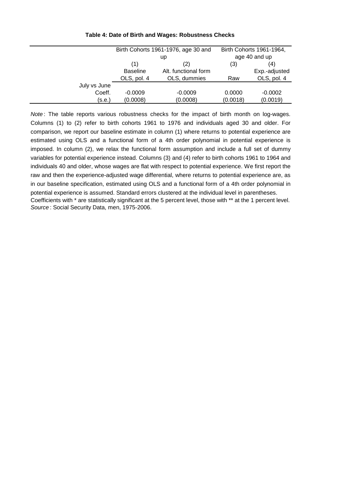|              |                 | Birth Cohorts 1961-1976, age 30 and |        | Birth Cohorts 1961-1964, |
|--------------|-----------------|-------------------------------------|--------|--------------------------|
|              | up              |                                     |        | age 40 and up            |
|              | (1)             | (2)                                 | (3)    | (4)                      |
|              | <b>Baseline</b> | Alt. functional form                |        | Exp.-adjusted            |
|              | OLS, pol. 4     | OLS, dummies                        | Raw    | OLS, pol. 4              |
| July vs June |                 |                                     |        |                          |
| Coeff.       | $-0.0009$       | $-0.0009$                           | 0.0000 | $-0.0002$                |

 $($ s.e.)  $(0.0008)$   $(0.0008)$   $(0.0018)$   $(0.0019)$ 

#### **Table 4: Date of Birth and Wages: Robustness Checks**

*Note*: The table reports various robustness checks for the impact of birth month on log-wages. Columns (1) to (2) refer to birth cohorts 1961 to 1976 and individuals aged 30 and older. For comparison, we report our baseline estimate in column (1) where returns to potential experience are estimated using OLS and a functional form of a 4th order polynomial in potential experience is imposed. In column (2), we relax the functional form assumption and include a full set of dummy variables for potential experience instead. Columns (3) and (4) refer to birth cohorts 1961 to 1964 and individuals 40 and older, whose wages are flat with respect to potential experience. We first report the raw and then the experience-adjusted wage differential, where returns to potential experience are, as in our baseline specification, estimated using OLS and a functional form of a 4th order polynomial in potential experience is assumed. Standard errors clustered at the individual level in parentheses. Coefficients with \* are statistically significant at the 5 percent level, those with \*\* at the 1 percent level. *Source* : Social Security Data, men, 1975-2006.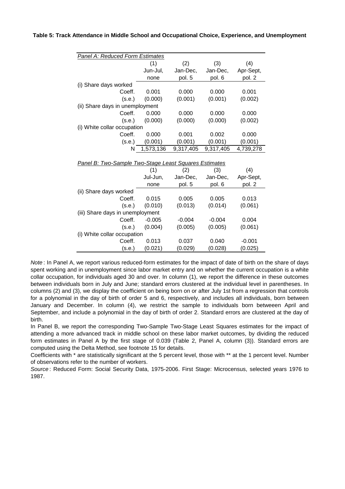|                                                       | <b>Panel A: Reduced Form Estimates</b> |           |           |           |
|-------------------------------------------------------|----------------------------------------|-----------|-----------|-----------|
|                                                       | (1)                                    | (2)       | (3)       | (4)       |
|                                                       | Jun-Jul,                               | Jan-Dec,  | Jan-Dec,  | Apr-Sept, |
|                                                       | none                                   | pol. 5    | pol. 6    | pol. 2    |
| (i) Share days worked                                 |                                        |           |           |           |
| Coeff.                                                | 0.001                                  | 0.000     | 0.000     | 0.001     |
| (s.e.)                                                | (0.000)                                | (0.001)   | (0.001)   | (0.002)   |
| (ii) Share days in unemployment                       |                                        |           |           |           |
| Coeff.                                                | 0.000                                  | 0.000     | 0.000     | 0.000     |
| (s.e.)                                                | (0.000)                                | (0.000)   | (0.000)   | (0.002)   |
| (i) White collar occupation                           |                                        |           |           |           |
| Coeff.                                                | 0.000                                  | 0.001     | 0.002     | 0.000     |
| (s.e.)                                                | (0.001)                                | (0.001)   | (0.001)   | (0.001)   |
| N                                                     | 1,573,136                              | 9,317,405 | 9,317,405 | 4,739,278 |
|                                                       |                                        |           |           |           |
| Panel B: Two-Sample Two-Stage Least Squares Estimates |                                        |           |           |           |
|                                                       | (1)                                    | (2)       | (3)       | (4)       |
|                                                       | Jul-Jun,                               | Jan-Dec,  | Jan-Dec,  | Apr-Sept, |
|                                                       | none                                   | pol. 5    | pol. 6    | pol. 2    |
| (ii) Share days worked                                |                                        |           |           |           |
| Coeff.                                                | 0.015                                  | 0.005     | 0.005     | 0.013     |
| (s.e.)                                                | (0.010)                                | (0.013)   | (0.014)   | (0.061)   |
| (iii) Share days in unemployment                      |                                        |           |           |           |
| Coeff.                                                | $-0.005$                               | $-0.004$  | $-0.004$  | 0.004     |
| (s.e.)                                                | (0.004)                                | (0.005)   | (0.005)   | (0.061)   |
| (i) White collar occupation                           |                                        |           |           |           |
|                                                       |                                        |           |           |           |
| Coeff.                                                | 0.013                                  | 0.037     | 0.040     | $-0.001$  |

#### **Table 5: Track Attendance in Middle School and Occupational Choice, Experience, and Unemployment**

*Note* : In Panel A, we report various reduced-form estimates for the impact of date of birth on the share of days spent working and in unemployment since labor market entry and on whether the current occupation is a white collar occupation, for individuals aged 30 and over. In column (1), we report the difference in these outcomes between individuals born in July and June; standard errors clustered at the individual level in parentheses. In columns (2) and (3), we display the coefficient on being born on or after July 1st from a regression that controls for a polynomial in the day of birth of order 5 and 6, respectively, and includes all individuals, born between January and December. In column (4), we restrict the sample to individuals born betweeen April and September, and include a polynomial in the day of birth of order 2. Standard errors are clustered at the day of birth.

In Panel B, we report the corresponding Two-Sample Two-Stage Least Squares estimates for the impact of attending a more advanced track in middle school on these labor market outcomes, by dividing the reduced form estimates in Panel A by the first stage of 0.039 (Table 2, Panel A, column (3)). Standard errors are computed using the Delta Method, see footnote 15 for details.

Coefficients with \* are statistically significant at the 5 percent level, those with \*\* at the 1 percent level. Number of observations refer to the number of workers.

*Source* : Reduced Form: Social Security Data, 1975-2006. First Stage: Microcensus, selected years 1976 to 1987.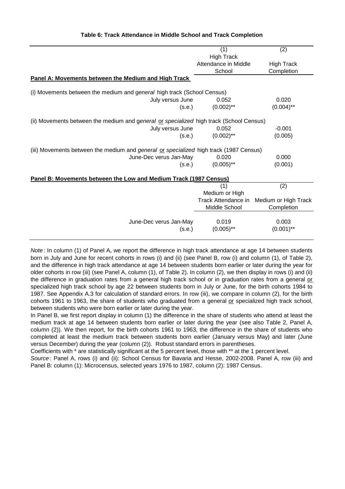|                                                                                               | (1)                  | (2)                  |
|-----------------------------------------------------------------------------------------------|----------------------|----------------------|
|                                                                                               | <b>High Track</b>    |                      |
|                                                                                               | Attendance in Middle | <b>High Track</b>    |
|                                                                                               | School               | Completion           |
| Panel A: Movements between the Medium and High Track                                          |                      |                      |
| (i) Movements between the medium and general high track (School Census)                       |                      |                      |
| July versus June                                                                              | 0.052                | 0.020                |
| (s.e.)                                                                                        | $(0.002)$ **         | $(0.004)$ **         |
| (ii) Movements between the medium and general or specialized high track (School Census)       |                      |                      |
| July versus June                                                                              | 0.052                | $-0.001$             |
| (s.e.)                                                                                        | $(0.002)$ **         | (0.005)              |
| (iii) Movements between the medium and <i>general</i> or specialized high track (1987 Census) |                      |                      |
| June-Dec verus Jan-May                                                                        | 0.020                | 0.000                |
| (s.e.)                                                                                        | $(0.005)$ **         | (0.001)              |
| Panel B: Movements between the Low and Medium Track (1987 Census)                             |                      |                      |
|                                                                                               | (1)                  | (2)                  |
|                                                                                               | Medium or High       |                      |
|                                                                                               | Track Attendance in  | Medium or High Track |
|                                                                                               | Middle School        | Completion           |
|                                                                                               |                      |                      |
| June-Dec verus Jan-May                                                                        | 0.019                | 0.003                |
| (s.e.)                                                                                        | $(0.005)$ **         | $(0.001)$ **         |

#### **Table 6: Track Attendance in Middle School and Track Completion**

*Note* : In column (1) of Panel A, we report the difference in high track attendance at age 14 between students born in July and June for recent cohorts in rows (i) and (ii) (see Panel B, row (i) and column (1), of Table 2), and the difference in high track attendance at age 14 between students born earlier or later during the year for older cohorts in row (iii) (see Panel A, column (1), of Table 2). In column (2), we then display in rows (i) and (ii) the difference in graduation rates from a general high track school or in graduation rates from a general or specialized high track school by age 22 between students born in July or June, for the birth cohorts 1984 to 1987. See Appendix A.3 for calculation of standard errors. In row (iii), we compare in column (2), for the birth cohorts 1961 to 1963, the share of students who graduated from a general or specialized high track school, between students who were born earlier or later during the year.

In Panel B, we first report display in column (1) the difference in the share of students who attend at least the medium track at age 14 between students born earlier or later during the year (see also Table 2, Panel A, column (2)). We then report, for the birth cohorts 1961 to 1963, the difference in the share of students who completed at least the medium track between students born earlier (January versus May) and later (June versus December) during the year (column (2)). Robust standard errors in parentheses.

Coefficients with \* are statistically significant at the 5 percent level, those with \*\* at the 1 percent level.

*Source* : Panel A, rows (i) and (ii): School Census for Bavaria and Hesse, 2002-2008. Panel A, row (iii) and Panel B: column (1): Microcensus, selected years 1976 to 1987, column (2): 1987 Census.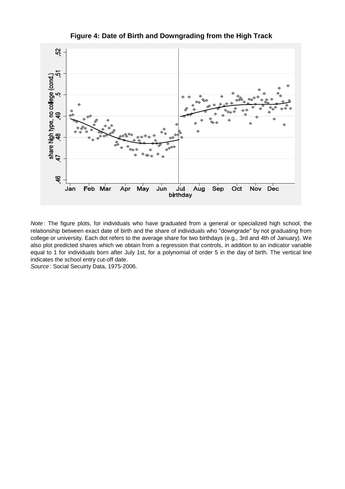

**Figure 4: Date of Birth and Downgrading from the High Track**

*Note* : The figure plots, for individuals who have graduated from a general or specialized high school, the relationship between exact date of birth and the share of individuals who "downgrade" by not graduating from college or university. Each dot refers to the average share for two birthdays (e.g., 3rd and 4th of January). We also plot predicted shares which we obtain from a regression that controls, in addition to an indicator variable equal to 1 for individuals born after July 1st, for a polynomial of order 5 in the day of birth. The vertical line indicates the school entry cut-off date.

*Source* : Social Secuirty Data, 1975-2006.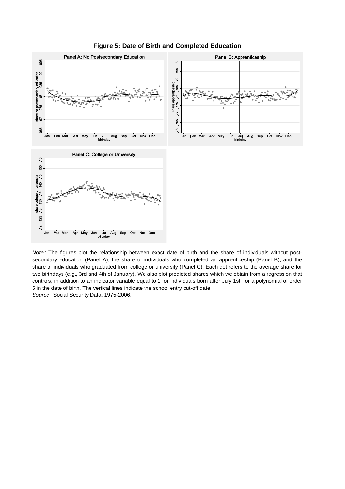

**Figure 5: Date of Birth and Completed Education**

*Source* : Social Security Data, 1975-2006. *Note* : The figures plot the relationship between exact date of birth and the share of individuals without postsecondary education (Panel A), the share of individuals who completed an apprenticeship (Panel B), and the share of individuals who graduated from college or university (Panel C). Each dot refers to the average share for two birthdays (e.g., 3rd and 4th of January). We also plot predicted shares which we obtain from a regression that controls, in addition to an indicator variable equal to 1 for individuals born after July 1st, for a polynomial of order 5 in the date of birth. The vertical lines indicate the school entry cut-off date.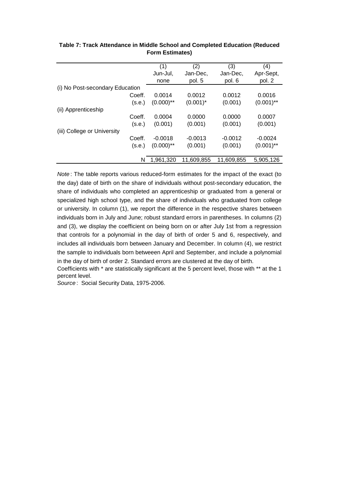|                                 | (1)          | (2)         | (3)        | (4)          |
|---------------------------------|--------------|-------------|------------|--------------|
|                                 | Jun-Jul,     | Jan-Dec,    | Jan-Dec,   | Apr-Sept,    |
|                                 |              |             |            |              |
|                                 | none         | pol. 5      | pol. 6     | pol. 2       |
| (i) No Post-secondary Education |              |             |            |              |
| Coeff.                          | 0.0014       | 0.0012      | 0.0012     | 0.0016       |
| (s.e.)                          | $(0.000)$ ** | $(0.001)^*$ | (0.001)    | $(0.001)$ ** |
| (ii) Apprenticeship             |              |             |            |              |
| Coeff.                          | 0.0004       | 0.0000      | 0.0000     | 0.0007       |
| (s.e.)                          | (0.001)      | (0.001)     | (0.001)    | (0.001)      |
| (iii) College or University     |              |             |            |              |
| Coeff.                          | $-0.0018$    | $-0.0013$   | $-0.0012$  | $-0.0024$    |
| (s.e.)                          | $(0.000)$ ** | (0.001)     | (0.001)    | $(0.001)$ ** |
| N                               | 1,961,320    | 11,609,855  | 11,609,855 | 5,905,126    |

#### **Table 7: Track Attendance in Middle School and Completed Education (Reduced Form Estimates)**

*Note* : The table reports various reduced-form estimates for the impact of the exact (to the day) date of birth on the share of individuals without post-secondary education, the share of individuals who completed an apprenticeship or graduated from a general or specialized high school type, and the share of individuals who graduated from college or university. In column (1), we report the difference in the respective shares between individuals born in July and June; robust standard errors in parentheses. In columns (2) and (3), we display the coefficient on being born on or after July 1st from a regression that controls for a polynomial in the day of birth of order 5 and 6, respectively, and includes all individuals born between January and December. In column (4), we restrict the sample to individuals born betweeen April and September, and include a polynomial in the day of birth of order 2. Standard errors are clustered at the day of birth.

Coefficients with \* are statistically significant at the 5 percent level, those with \*\* at the 1 percent level.

*Source* : Social Security Data, 1975-2006.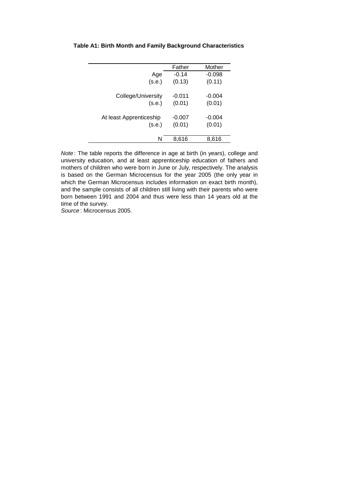|                         | Father   | Mother   |
|-------------------------|----------|----------|
| Age                     | $-0.14$  | $-0.098$ |
| (s.e.)                  | (0.13)   | (0.11)   |
|                         |          |          |
| College/University      | $-0.011$ | $-0.004$ |
| (s.e.)                  | (0.01)   | (0.01)   |
|                         |          |          |
| At least Apprenticeship | $-0.007$ | $-0.004$ |
| (s.e.)                  | (0.01)   | (0.01)   |
|                         |          |          |
| N                       | 8,616    | 8,616    |
|                         |          |          |

#### **Table A1: Birth Month and Family Background Characteristics**

*Note* : The table reports the difference in age at birth (in years), college and university education, and at least apprenticeship education of fathers and mothers of children who were born in June or July, respectively. The analysis is based on the German Microcensus for the year 2005 (the only year in which the German Microcensus includes information on exact birth month), and the sample consists of all children still living with their parents who were born between 1991 and 2004 and thus were less than 14 years old at the time of the survey.

*Source* : Microcensus 2005.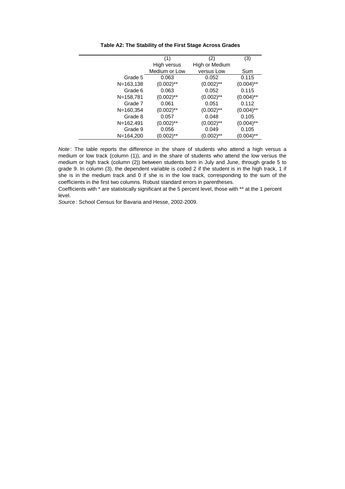|                | (1)           | (2)            | (3)          |
|----------------|---------------|----------------|--------------|
|                | High versus   | High or Medium |              |
|                | Medium or Low | versus Low     | Sum          |
| Grade 5        | 0.063         | 0.052          | 0.115        |
| $N = 163, 138$ | $(0.002)$ **  | $(0.002)$ **   | $(0.004)$ ** |
| Grade 6        | 0.063         | 0.052          | 0.115        |
| N=158,781      | $(0.002)$ **  | $(0.002)$ **   | $(0.004)$ ** |
| Grade 7        | 0.061         | 0.051          | 0.112        |
| $N = 160, 354$ | $(0.002)$ **  | $(0.002)$ **   | $(0.004)$ ** |
| Grade 8        | 0.057         | 0.048          | 0.105        |
| $N = 162,491$  | $(0.002)$ **  | $(0.002)$ **   | $(0.004)$ ** |
| Grade 9        | 0.056         | 0.049          | 0.105        |
| N=164,200      | $(0.002)$ **  | (0.002)**      | (0.004)**    |

**Table A2: The Stability of the First Stage Across Grades**

*Note* : The table reports the difference in the share of students who attend a high versus a medium or low track (column (1)), and in the share of students who attend the low versus the medium or high track (column (2)) between students born in July and June, through grade 5 to grade 9. In column (3), the dependent variable is coded 2 if the student is in the high track, 1 if she is in the medium track and 0 if she is in the low track, corresponding to the sum of the coefficients in the first two columns. Robust standard errors in parentheses.

Coefficients with \* are statistically significant at the 5 percent level, those with \*\* at the 1 percent level.

*Source* : School Census for Bavaria and Hesse, 2002-2009.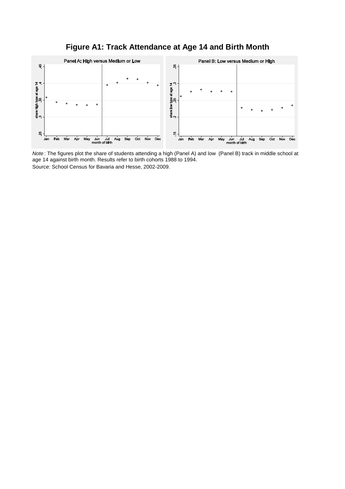### **Figure A1: Track Attendance at Age 14 and Birth Month**



*Note* : The figures plot the share of students attending a high (Panel A) and low (Panel B) track in middle school at age 14 against birth month. Results refer to birth cohorts 1988 to 1994. Source: School Census for Bavaria and Hesse, 2002-2009.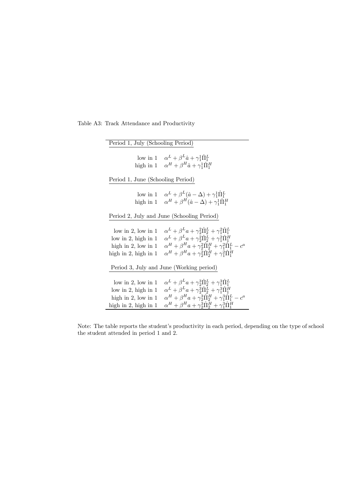Table A3: Track Attendance and Productivity

| Period 1, July (Schooling Period) |                                                                                                      |
|-----------------------------------|------------------------------------------------------------------------------------------------------|
|                                   |                                                                                                      |
|                                   | low in 1 $\alpha^L + \beta^L \hat{a} + \gamma_1^1 \hat{\Pi}_1^L$                                     |
|                                   | high in 1 $\alpha^H + \beta^H \hat{a} + \gamma_1^1 \hat{\Pi}_1^H$                                    |
|                                   |                                                                                                      |
| Period 1, June (Schooling Period) |                                                                                                      |
|                                   |                                                                                                      |
|                                   | low in 1 $\alpha^L + \beta^L(\hat{a} - \Delta) + \gamma_1^1 \hat{\Pi}_1^L$                           |
|                                   | high in 1 $\alpha^H + \beta^H(\hat{a} - \Delta) + \gamma_1^1 \hat{\Pi}_1^H$                          |
|                                   |                                                                                                      |
|                                   | Period 2, July and June (Schooling Period)                                                           |
|                                   |                                                                                                      |
| low in 2, low in 1                | $\alpha^L + \beta^L a + \gamma_2^2 \tilde{\Pi}_2^L + \gamma_1^2 \tilde{\Pi}_1^L$                     |
| low in 2, high in $1$             | $\alpha^L + \beta^L a + \gamma_2^2 \hat{\Pi}_2^L + \gamma_1^2 \hat{\Pi}_1^H$                         |
| high in 2, low in $1$             | $\alpha^H + \beta^H a + \gamma_2^2 \hat{\Pi}_2^H + \gamma_1^2 \hat{\Pi}_1^L - c^a$                   |
| high in 2, high in 1              | $\alpha^H + \beta^H a + \gamma_2^2 \hat{\Pi}_2^H + \gamma_1^2 \hat{\Pi}_1^H$                         |
|                                   |                                                                                                      |
|                                   | Period 3, July and June (Working period)                                                             |
|                                   |                                                                                                      |
| low in $2$ , low in $1$           | $\alpha^L + \beta^L a + \gamma_2^3 \hat{\Pi}_2^L + \gamma_1^3 \hat{\Pi}_1^L$                         |
| low in 2, high in $1$             | $\alpha^L + \beta^L a + \gamma_2^3 \hat{\Pi}_2^L + \gamma_1^3 \hat{\Pi}_1^H$                         |
| high in $2$ , low in $1$          | $\alpha^{H} + \beta^{H} a + \gamma_2^{3} \hat{\Pi}_{2}^{H} + \gamma_1^{3} \hat{\Pi}_{1}^{L} - c^{a}$ |
| high in 2, high in 1              | $\alpha^H + \beta^H a + \gamma_2^3 \hat{\Pi}_2^H + \gamma_1^3 \hat{\Pi}_1^H$                         |

Note: The table reports the student's productivity in each period, depending on the type of school the student attended in period 1 and 2.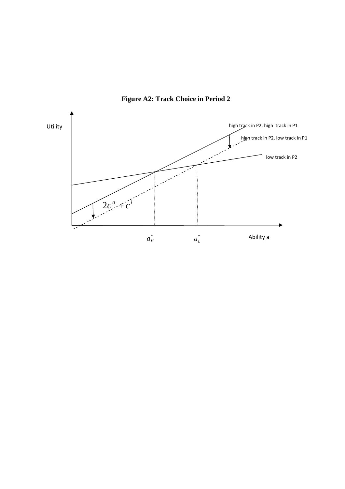

**Figure A2: Track Choice in Period 2**